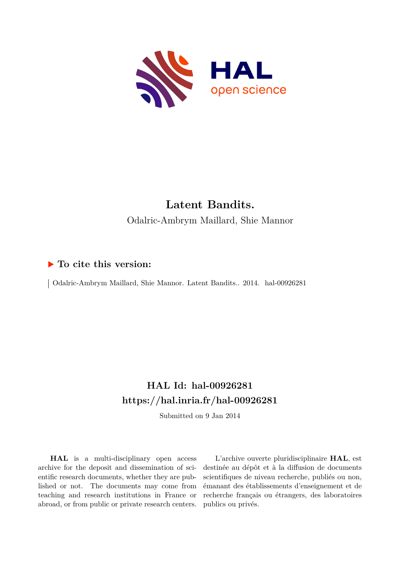

# **Latent Bandits.** Odalric-Ambrym Maillard, Shie Mannor

# **To cite this version:**

| Odalric-Ambrym Maillard, Shie Mannor. Latent Bandits.. 2014. hal-00926281

# **HAL Id: hal-00926281 <https://hal.inria.fr/hal-00926281>**

Submitted on 9 Jan 2014

**HAL** is a multi-disciplinary open access archive for the deposit and dissemination of scientific research documents, whether they are published or not. The documents may come from teaching and research institutions in France or abroad, or from public or private research centers.

L'archive ouverte pluridisciplinaire **HAL**, est destinée au dépôt et à la diffusion de documents scientifiques de niveau recherche, publiés ou non, émanant des établissements d'enseignement et de recherche français ou étrangers, des laboratoires publics ou privés.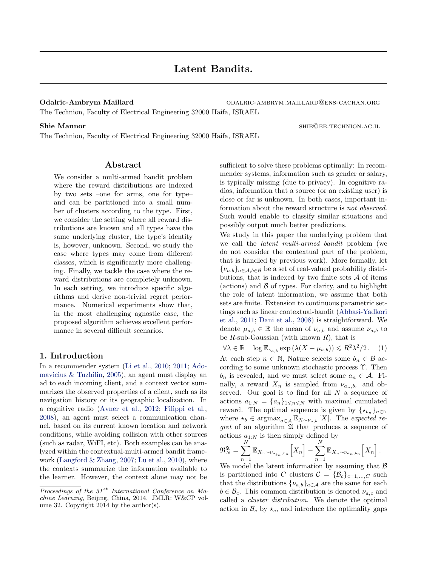<span id="page-1-0"></span>Odalric-Ambrym Maillard ODALRIC-AMBRYM.MAILLARD@ENS-CACHAN.ORG

The Technion, Faculty of Electrical Engineering 32000 Haifa, ISRAEL

The Technion, Faculty of Electrical Engineering 32000 Haifa, ISRAEL

# Abstract

We consider a multi-armed bandit problem where the reward distributions are indexed by two sets –one for arms, one for type– and can be partitioned into a small number of clusters according to the type. First, we consider the setting where all reward distributions are known and all types have the same underlying cluster, the type's identity is, however, unknown. Second, we study the case where types may come from different classes, which is significantly more challenging. Finally, we tackle the case where the reward distributions are completely unknown. In each setting, we introduce specific algorithms and derive non-trivial regret performance. Numerical experiments show that, in the most challenging agnostic case, the proposed algorithm achieves excellent performance in several difficult scenarios.

# 1. Introduction

In a recommender system [\(Li et al.,](#page-9-0) [2010;](#page-9-0) [2011;](#page-9-0) [Ado](#page-9-0)[mavicius & Tuzhilin,](#page-9-0) [2005\)](#page-9-0), an agent must display an ad to each incoming client, and a context vector summarizes the observed properties of a client, such as its navigation history or its geographic localization. In a cognitive radio [\(Avner et al.,](#page-9-0) [2012;](#page-9-0) [Filippi et al.,](#page-9-0) [2008\)](#page-9-0), an agent must select a communication channel, based on its current known location and network conditions, while avoiding collision with other sources (such as radar, WiFI, etc). Both examples can be analyzed within the contextual-multi-armed bandit framework [\(Langford & Zhang,](#page-9-0) [2007;](#page-9-0) [Lu et al.,](#page-9-0) [2010\)](#page-9-0), where the contexts summarize the information available to the learner. However, the context alone may not be sufficient to solve these problems optimally: In recommender systems, information such as gender or salary, is typically missing (due to privacy). In cognitive radios, information that a source (or an existing user) is close or far is unknown. In both cases, important information about the reward structure is not observed. Such would enable to classify similar situations and possibly output much better predictions.

We study in this paper the underlying problem that we call the latent multi-armed bandit problem (we do not consider the contextual part of the problem, that is handled by previous work). More formally, let  $\{\nu_{a,b}\}_a \in \mathcal{A}, b \in \mathcal{B}$  be a set of real-valued probability distributions, that is indexed by two finite sets  $A$  of items (actions) and  $\beta$  of types. For clarity, and to highlight the role of latent information, we assume that both sets are finite. Extension to continuous parametric settings such as linear contextual-bandit [\(Abbasi-Yadkori](#page-9-0) [et al.,](#page-9-0) [2011;](#page-9-0) [Dani et al.,](#page-9-0) [2008\)](#page-9-0) is straightforward. We denote  $\mu_{a,b} \in \mathbb{R}$  the mean of  $\nu_{a,b}$  and assume  $\nu_{a,b}$  to be  $R$ -sub-Gaussian (with known  $R$ ), that is

 $\forall \lambda \in \mathbb{R} \quad \log \mathbb{E}_{\nu_{a,b}} \exp \left( \lambda (X - \mu_{a,b}) \right) \leq R^2 \lambda^2 / 2.$  (1)

At each step  $n \in \mathbb{N}$ , Nature selects some  $b_n \in \mathcal{B}$  according to some unknown stochastic process  $\Upsilon$ . Then  $b_n$  is revealed, and we must select some  $a_n \in \mathcal{A}$ . Finally, a reward  $X_n$  is sampled from  $\nu_{a_n,b_n}$  and observed. Our goal is to find for all  $N$  a sequence of actions  $a_{1:N} = \{a_n\}_{1\le n\le N}$  with maximal cumulated reward. The optimal sequence is given by  $\{\star_{b_n}\}_{n\in\mathbb{N}}$ where  $\star_b \in \text{argmax}_{a \in \mathcal{A}} \mathbb{E}_{X \sim \nu_{a,b}}[X]$ . The expected re $gret$  of an algorithm  $\mathfrak A$  that produces a sequence of actions  $a_{1:N}$  is then simply defined by

$$
\mathfrak{R}_N^{\mathfrak{A}} = \sum_{n=1}^N \mathbb{E}_{X_n \sim \nu_{\star_{b_n}, b_n}} \Big[X_n\Big] - \sum_{n=1}^N \mathbb{E}_{X_n \sim \nu_{a_n, b_n}} \Big[X_n\Big].
$$

We model the latent information by assuming that  $\beta$ is partitioned into C clusters  $\mathcal{C} = {\mathcal{B}_c}_{c=1,...,C}$  such that the distributions  $\{\nu_{a,b}\}_{a \in \mathcal{A}}$  are the same for each  $b \in \mathcal{B}_c$ . This common distribution is denoted  $\nu_{a,c}$  and called a cluster distribution. We denote the optimal action in  $\mathcal{B}_c$  by  $\star_c$ , and introduce the optimality gaps

Shie Mannor shielder and the shielder shielder shielder shielder shielder shielder shielder shielder shielder

Proceedings of the  $31^{st}$  International Conference on Machine Learning, Beijing, China, 2014. JMLR: W&CP volume 32. Copyright 2014 by the author(s).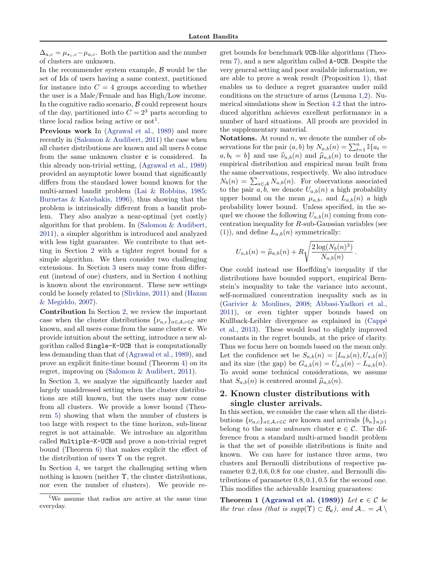<span id="page-2-0"></span> $\Delta_{a,c} = \mu_{\star_c,c} - \mu_{a,c}$ . Both the partition and the number of clusters are unknown.

In the recommender system example,  $\beta$  would be the set of Ids of users having a same context, partitioned for instance into  $C = 4$  groups according to whether the user is a Male/Female and has High/Low income. In the cognitive radio scenario,  $\beta$  could represent hours of the day, partitioned into  $C = 2<sup>3</sup>$  parts according to three local radios being active or  $\text{not}^1$ .

Previous work In [\(Agrawal et al.,](#page-9-0) [1989\)](#page-9-0) and more recently in [\(Salomon & Audibert,](#page-9-0) [2011\)](#page-9-0) the case when all cluster distributions are known and all users b come from the same unknown cluster c is considered. In this already non-trivial setting, [\(Agrawal et al.,](#page-9-0) [1989\)](#page-9-0) provided an asymptotic lower bound that significantly differs from the standard lower bound known for the multi-armed bandit problem [\(Lai & Robbins,](#page-9-0) [1985;](#page-9-0) [Burnetas & Katehakis,](#page-9-0) [1996\)](#page-9-0), thus showing that the problem is intrinsically different from a bandit problem. They also analyze a near-optimal (yet costly) algorithm for that problem. In [\(Salomon & Audibert,](#page-9-0) [2011\)](#page-9-0), a simpler algorithm is introduced and analyzed with less tight guarantee. We contribute to that setting in Section 2 with a tighter regret bound for a simple algorithm. We then consider two challenging extensions. In Section [3](#page-4-0) users may come from different (instead of one) clusters, and in Section [4](#page-4-0) nothing is known about the environment. These new settings could be loosely related to [\(Slivkins,](#page-10-0) [2011\)](#page-10-0) and [\(Hazan](#page-9-0) [& Megiddo,](#page-9-0) [2007\)](#page-9-0).

Contribution In Section 2, we review the important case when the cluster distributions  $\{\nu_{a,c}\}_{a\in\mathcal{A},c\in\mathcal{C}}$  are known, and all users come from the same cluster c. We provide intuition about the setting, introduce a new algorithm called Single-K-UCB that is computationally less demanding than that of [\(Agrawal et al.,](#page-9-0) [1989\)](#page-9-0), and prove an explicit finite-time bound (Theorem [4\)](#page-3-0) on its regret, improving on [\(Salomon & Audibert,](#page-9-0) [2011\)](#page-9-0).

In Section [3,](#page-4-0) we analyze the significantly harder and largely unaddressed setting when the cluster distributions are still known, but the users may now come from all clusters. We provide a lower bound (Theorem [5\)](#page-4-0) showing that when the number of clusters is too large with respect to the time horizon, sub-linear regret is not attainable. We introduce an algorithm called Multiple-K-UCB and prove a non-trivial regret bound (Theorem [6\)](#page-4-0) that makes explicit the effect of the distribution of users  $\Upsilon$  on the regret.

In Section [4,](#page-4-0) we target the challenging setting when nothing is known (neither  $\Upsilon$ , the cluster distributions, nor even the number of clusters). We provide regret bounds for benchmark UCB-like algorithms (Theorem [7\)](#page-5-0), and a new algorithm called A-UCB. Despite the very general setting and poor available information, we are able to prove a weak result (Proposition [1\)](#page-6-0), that enables us to deduce a regret guarantee under mild conditions on the structure of arms (Lemma [1,2\)](#page-6-0). Numerical simulations show in Section [4.2](#page-7-0) that the introduced algorithm achieves excellent performance in a number of hard situations. All proofs are provided in the supplementary material.

**Notations.** At round  $n$ , we denote the number of observations for the pair  $(a, b)$  by  $N_{a,b}(n) = \sum_{t=1}^{n} \mathbb{I}\{a_t =$  $a, b_t = b$  and use  $\hat{\nu}_{a,b}(n)$  and  $\hat{\mu}_{a,b}(n)$  to denote the empirical distribution and empirical mean built from the same observations, respectively. We also introduce  $N_b(n) = \sum_{a \in \mathcal{A}} N_{a,b}(n)$ . For observations associated to the pair  $a, b$ , we denote  $U_{a,b}(n)$  a high probability upper bound on the mean  $\mu_{a,b}$ , and  $L_{a,b}(n)$  a high probability lower bound. Unless specified, in the sequel we choose the following  $U_{a,b}(n)$  coming from concentration inequality for R-sub-Gaussian variables (see [\(1\)](#page-1-0)), and define  $L_{a,b}(n)$  symmetrically:

$$
U_{a,b}(n) = \widehat{\mu}_{a,b}(n) + R \sqrt{\frac{2 \log(N_b(n)^3)}{N_{a,b}(n)}}.
$$

One could instead use Hoeffding's inequality if the distributions have bounded support, empirical Bernstein's inequality to take the variance into account, self-normalized concentration inequality such as in [\(Garivier & Moulines,](#page-9-0) [2008;](#page-9-0) [Abbasi-Yadkori et al.,](#page-9-0) [2011\)](#page-9-0), or even tighter upper bounds based on Kullback-Leibler divergence as explained in (Cappé [et al.,](#page-9-0) [2013\)](#page-9-0). These would lead to slightly improved constants in the regret bounds, at the price of clarity. Thus we focus here on bounds based on the mean only. Let the confidence set be  $S_{a,b}(n) = [L_{a,b}(n), U_{a,b}(n)]$ and its size (the gap) be  $G_{a,b}(n) = U_{a,b}(n) - L_{a,b}(n)$ . To avoid some technical considerations, we assume that  $S_{a,b}(n)$  is centered around  $\hat{\mu}_{a,b}(n)$ .

# 2. Known cluster distributions with single cluster arrivals.

In this section, we consider the case when all the distributions  $\{\nu_{a,c}\}_{a\in\mathcal{A},c\in\mathcal{C}}$  are known and arrivals  $\{b_n\}_{n\geqslant1}$ belong to the same unknown cluster  $c \in \mathcal{C}$ . The difference from a standard multi-armed bandit problem is that the set of possible distributions is finite and known. We can have for instance three arms, two clusters and Bernoulli distributions of respective parameter 0.2, 0.6, 0.8 for one cluster, and Bernoulli distributions of parameter 0.8, 0.1, 0.5 for the second one. This modifies the achievable learning guarantees:

Theorem 1 [\(Agrawal et al.](#page-9-0) [\(1989\)](#page-9-0)) Let  $c \in C$  be the true class (that is supp( $\Upsilon$ )  $\subset \mathcal{B}_{c}$ ), and  $\mathcal{A}_{-} = \mathcal{A}$ )

<sup>1</sup>We assume that radios are active at the same time everyday.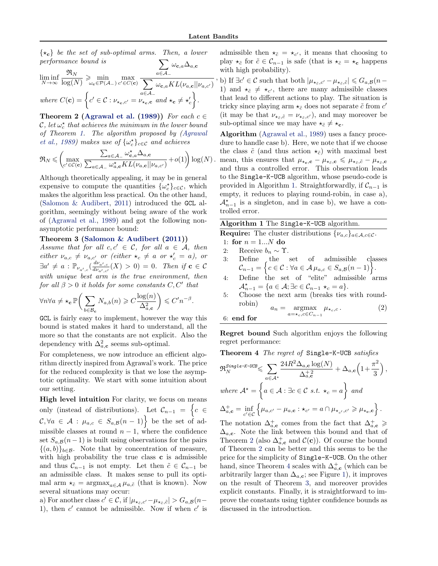.

<span id="page-3-0"></span> $\{\star_{\mathbf{c}}\}$  be the set of sub-optimal arms. Then, a lower performance bound is  $\sum \omega _{\mathbf{c},a}\Delta _{a,\mathbf{c}}$ 

$$
\liminf_{N \to \infty} \frac{\Re_N}{\log(N)} \geq \min_{\omega_{\mathbf{c}} \in \mathcal{P}(\mathcal{A}_-)} \max_{c' \in C(\mathbf{c})} \frac{1}{\sum_{a \in \mathcal{A}_-} \omega_{\mathbf{c},a} KL(\nu_{a,\mathbf{c}} || \nu_{a,c'})}
$$
\nwhere  $C(\mathbf{c}) = \left\{ c' \in \mathcal{C} : \nu_{\star_{\mathbf{c}},c'} = \nu_{\star_{\mathbf{c}},\mathbf{c}} \text{ and } \star_{\mathbf{c}} \neq \star'_{c} \right\}.$ 

Theorem 2 [\(Agrawal et al.](#page-9-0) [\(1989\)](#page-9-0)) For each  $c \in$  $\mathcal{C}, \, \mathrm{let} \, \omega_c^{\star} \, \, \mathrm{that} \, \, \mathrm{achieves} \, \, \mathrm{the} \, \, \mathrm{minimum} \, \, \mathrm{in} \, \, \mathrm{the} \, \, \mathrm{lower} \, \, \mathrm{bound}$ of Theorem [1.](#page-2-0) The algorithm proposed by [\(Agrawal](#page-9-0) [et al.,](#page-9-0) [1989\)](#page-9-0) makes use of  $\{\omega_c^{\star}\}_{c \in \mathcal{C}}$  and achieves

$$
\mathfrak{R}_N \leqslant \left(\max_{c' \in \mathcal{C}(\mathbf{c})} \frac{\sum_{a \in \mathcal{A}_-} \omega_{\mathbf{c},a}^{\star} \Delta_{a,\mathbf{c}}}{\sum_{a \in \mathcal{A}_-} \omega_{a,\mathbf{c}}^{\star} KL(\nu_{a,\mathbf{c}} || \nu_{a,c'})} + o(1)\right) \log(N) .
$$

Although theoretically appealing, it may be in general expensive to compute the quantities  $\{\omega_c^{\star}\}_{c \in \mathcal{C}}$ , which makes the algorithm less practical. On the other hand, [\(Salomon & Audibert,](#page-9-0) [2011\)](#page-9-0) introduced the GCL algorithm, seemingly without being aware of the work of [\(Agrawal et al.,](#page-9-0) [1989\)](#page-9-0) and got the following nonasymptotic performance bound:

#### Theorem 3 [\(Salomon & Audibert](#page-9-0) [\(2011\)](#page-9-0))

Assume that for all  $c, c' \in \mathcal{C}$ , for all  $a \in \mathcal{A}$ , then either  $\nu_{a,c} \neq \nu_{a,c'}$  or (either  $\star_c \neq a$  or  $\star_c' = a$ ), or  $\exists a'\neq a: \mathbb{P}_{\nu_{a',c}}(\frac{d\nu_{a',c}}{d\nu_{a',c'}}$  $\frac{d\mathcal{L}_{a',c}}{d\mathcal{L}_{a',c'}}(X) > 0$  = 0. Then if  $\mathbf{c} \in \mathcal{C}$ with unique best arm is the true environment, then for all  $\beta > 0$  it holds for some constants  $C, C'$  that

$$
\forall n \forall a \neq \star_{\mathbf{c}} \mathbb{P}\bigg(\sum_{b \in \mathcal{B}_{\mathbf{c}}} N_{a,b}(n) \geqslant C \frac{\log(n)}{\Delta_{a,\mathbf{c}}^2}\bigg) \leqslant C'n^{-\beta}
$$

GCL is fairly easy to implement, however the way this bound is stated makes it hard to understand, all the more so that the constants are not explicit. Also the dependency with  $\Delta_{a,\mathbf{c}}^2$  seems sub-optimal.

For completeness, we now introduce an efficient algorithm directly inspired from Agrawal's work. The price for the reduced complexity is that we lose the asymptotic optimality. We start with some intuition about our setting.

High level intuition For clarity, we focus on means only (instead of distributions). Let  $\mathcal{C}_{n-1} = \left\{c \in \mathcal{C}_n\right\}$  $\mathcal{C}, \forall a \in \mathcal{A} : \mu_{a,c} \in S_{a,\mathcal{B}}(n-1)$  be the set of admissible classes at round  $n - 1$ , where the confidence set  $S_{a,B}(n-1)$  is built using observations for the pairs  $\{(a, b)\}_{b \in \mathcal{B}}$ . Note that by concentration of measure, with high probability the true class **c** is admissible and thus  $\mathcal{C}_{n-1}$  is not empty. Let then  $\tilde{c} \in \mathcal{C}_{n-1}$  be an admissible class. It makes sense to pull its optimal arm  $\star_{\tilde{c}} = \operatorname{argmax}_{a \in \mathcal{A}} \mu_{a,\tilde{c}}$  (that is known). Now several situations may occur:

a) For another class  $c' \in \mathcal{C}$ , if  $|\mu_{\star_{\bar{c}},c'}-\mu_{\star_{\bar{c}},\bar{c}}| > G_{a,\mathcal{B}}(n-$ 1), then  $c'$  cannot be admissible. Now if when  $c'$  is

admissible then  $\star_{\tilde{c}} = \star_{c'}$ , it means that choosing to play  $\star_{\tilde{c}}$  for  $\tilde{c} \in \mathcal{C}_{n-1}$  is safe (that is  $\star_{\tilde{c}} = \star_{\mathbf{c}}$  happens with high probability).

' b) If ∃c' ∈ C such that both  $|\mu_{\star_{\bar{c}},c'} - \mu_{\star_{\bar{c}},\bar{c}}| \leqslant G_{a,\mathcal{B}}(n-$ 1) and  $\star_{\tilde{c}} \neq \star_{c'}$ , there are many admissible classes that lead to different actions to play. The situation is tricky since playing arm  $\star_{\tilde{c}}$  does not separate  $\tilde{c}$  from  $c'$ (it may be that  $\nu_{\star\tilde{c},\tilde{c}} = \nu_{\star\tilde{c},c'}$ ), and may moreover be sub-optimal since we may have  $\star_{\tilde{c}} \neq \star_{\mathbf{c}}$ .

Algorithm [\(Agrawal et al.,](#page-9-0) [1989\)](#page-9-0) uses a fancy procedure to handle case b). Here, we note that if we choose the class  $\tilde{c}$  (and thus action  $\star_{\tilde{c}}$ ) with maximal best mean, this ensures that  $\mu_{\star_c,c} - \mu_{\star_{\bar{c}},c} \leq \mu_{\star_{\bar{c}},c} - \mu_{\star_{\bar{c}},c}$ and thus a controlled error. This observation leads to the Single-K-UCB algorithm, whose pseudo-code is provided in Algorithm 1. Straightforwardly, if  $\mathcal{C}_{n-1}$  is empty, it reduces to playing round-robin, in case a),  $\mathcal{A}_{n-1}^*$  is a singleton, and in case b), we have a controlled error.

| Algorithm 1 The Single-K-UCB algorithm.                                                                                                                            |  |  |  |
|--------------------------------------------------------------------------------------------------------------------------------------------------------------------|--|--|--|
| <b>Require:</b> The cluster distributions $\{\nu_{a,c}\}_{a \in \mathcal{A}, c \in \mathcal{C}}$ .                                                                 |  |  |  |
| 1: for $n = 1N$ do                                                                                                                                                 |  |  |  |
| 2: Receive $b_n \sim \Upsilon$ .                                                                                                                                   |  |  |  |
|                                                                                                                                                                    |  |  |  |
| 3: Define the set of admissible classes $\mathcal{C}_{n-1} = \left\{ c \in \mathcal{C} : \forall a \in \mathcal{A} \mu_{a,c} \in S_{a,\mathcal{B}}(n-1) \right\}.$ |  |  |  |
| Define the set of "elite" admissible arms<br>4:                                                                                                                    |  |  |  |
| $\mathcal{A}_{n-1}^{\star} = \{a \in \mathcal{A}; \exists c \in \mathcal{C}_{n-1} \star_c = a\}.$                                                                  |  |  |  |
| 5: Choose the next arm (breaks ties with round-                                                                                                                    |  |  |  |
| robin)<br>$a_n = \underset{a=\star_c,c \in C_{n-1}}{\operatorname{argmax}} \mu_{\star_c,c}.$<br>(2)                                                                |  |  |  |
| 6: end for                                                                                                                                                         |  |  |  |

Regret bound Such algorithm enjoys the following regret performance:

Theorem 4 The regret of Single-K-UCB satisfies

$$
\mathfrak{R}_N^{Single-K-UCB} \leqslant \sum_{a \in A^*} \frac{24R^2 \Delta_{a,\mathbf{c}} \log(N)}{\Delta_{a,\mathbf{c}}^{+2}} + \Delta_{a,\mathbf{c}} \left(1 + \frac{\pi^2}{3}\right),
$$
\nwhere  $A^* = \left\{ a \in \mathcal{A} : \exists c \in \mathcal{C} \text{ s.t. } \star_c = a \right\}$  and\n
$$
\Delta_{a,\mathbf{c}}^+ = \inf_{c' \in \mathcal{C}} \left\{ \mu_{a,c'} - \mu_{a,\mathbf{c}} : \star_{c'} = a \cap \mu_{\star_{c'},c'} \geqslant \mu_{\star_{\mathbf{c}},\mathbf{c}} \right\}.
$$

The notation  $\Delta_{a,\mathbf{c}}^+$  comes from the fact that  $\Delta_{a,\mathbf{c}}^+ \geqslant$  $\Delta_{a,\mathbf{c}}$ . Note the link between this bound and that of Theorem 2 (also  $\Delta_{a,\mathbf{c}}^+$  and  $\mathcal{C}(\mathbf{c})$ ). Of course the bound of Theorem 2 can be better and this seems to be the price for the simplicity of Single-K-UCB. On the other hand, since Theorem 4 scales with  $\Delta_{a,\mathbf{c}}^+$  (which can be arbitrarily larger than  $\Delta_{a,c}$ ; see Figure [1\)](#page-4-0), it improves on the result of Theorem 3, and moreover provides explicit constants. Finally, it is straightforward to improve the constants using tighter confidence bounds as discussed in the introduction.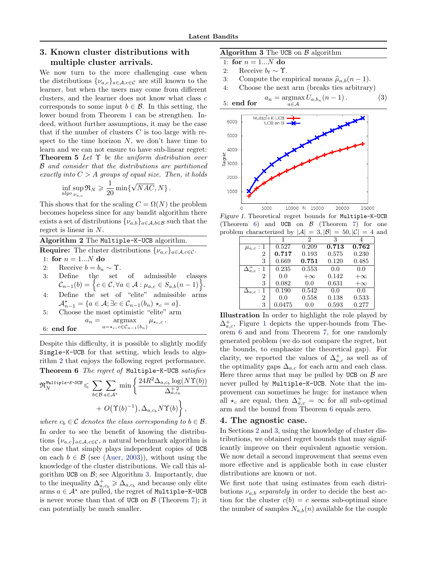# <span id="page-4-0"></span>3. Known cluster distributions with multiple cluster arrivals.

We now turn to the more challenging case when the distributions  $\{\nu_{a,c}\}_{a\in\mathcal{A},c\in\mathcal{C}}$  are still known to the learner, but when the users may come from different clusters, and the learner does not know what class c corresponds to some input  $b \in \mathcal{B}$ . In this setting, the lower bound from Theorem [1](#page-2-0) can be strengthen. Indeed, without further assumptions, it may be the case that if the number of clusters  $C$  is too large with respect to the time horizon  $N$ , we don't have time to learn and we can not ensure to have sub-linear regret: **Theorem 5** Let  $\Upsilon$  be the uniform distribution over B and consider that the distributions are partitioned exactly into  $C > A$  groups of equal size. Then, it holds

$$
\inf_{algo} \sup_{\nu_{a,c}} \Re_N \geqslant \frac{1}{20} \min \{ \sqrt{NAC}, N \} \, .
$$

This shows that for the scaling  $C = \Omega(N)$  the problem becomes hopeless since for any bandit algorithm there exists a set of distributions  $\{\nu_{a,b}\}_{a\in\mathcal{A},b\in\mathcal{B}}$  such that the regret is linear in N.

# Algorithm 2 The Multiple-K-UCB algorithm.

**Require:** The cluster distributions  $\{\nu_{a,c}\}_{a \in \mathcal{A}, c \in \mathcal{C}}$ .

1: for  $n = 1...N$  do

- 2: Receive  $b = b_n \sim \Upsilon$ .<br>3: Define the set of admissible classes  $\mathcal{C}_{n-1}(b) = \left\{c \in \mathcal{C}, \forall a \in \mathcal{A} : \mu_{a,c} \in S_{a,b}(n-1)\right\}.$
- 4: Define the set of "elite" admissible arms  $\mathcal{A}_{n-1}^* = \{a \in \mathcal{A}; \exists c \in \mathcal{C}_{n-1}(b_n) \star_c = a\}.$
- 5: Choose the most optimistic "elite" arm  $a_n = \text{argmax}$  $\mu_{\star_c,c}$ .
- $a=\star_c, c \in \mathcal{C}_{n-1}(b_n)$ 6: end for

Despite this difficulty, it is possible to slightly modify Single-K-UCB for that setting, which leads to algorithm 2 that enjoys the following regret performance.

Theorem 6 The regret of Multiple-K-UCB satisfies

$$
\mathfrak{R}_{N}^{\text{Multiple-K-UCB}} \leqslant \sum_{b \in \mathcal{B}} \sum_{a \in \mathcal{A}^*} \min \left\{ \frac{24R^2 \Delta_{a,c_b} \log(N\Upsilon(b))}{\Delta_{a,c_b}^{+2}} + O(\Upsilon(b)^{-1}), \Delta_{a,c_b} N\Upsilon(b) \right\},\,
$$

where  $c_b \in \mathcal{C}$  denotes the class corresponding to  $b \in \mathcal{B}$ . In order to see the benefit of knowing the distributions  $\{\nu_{a,c}\}_{a\in\mathcal{A},c\in\mathcal{C}}$ , a natural benchmark algorithm is the one that simply plays independent copies of UCB on each  $b \in \mathcal{B}$  (see [\(Auer,](#page-9-0) [2003\)](#page-9-0)), without using the knowledge of the cluster distributions. We call this algorithm UCB on  $\mathcal{B}$ ; see Algorithm 3. Importantly, due to the inequality  $\Delta_{a,c_b}^+ \geq \Delta_{a,c_b}$  and because only elite arms  $a \in \mathcal{A}^*$  are pulled, the regret of Multiple-K-UCB is never worse than that of UCB on  $\beta$  (Theorem [7\)](#page-5-0); it can potentially be much smaller.

## Algorithm 3 The UCB on  $\beta$  algorithm

1: for  $n = 1...N$  do

2: Receive  $b_t \sim \Upsilon$ .<br>3: Compute the er

- 3: Compute the empirical means  $\hat{\mu}_{a,b}(n-1)$ .<br>4: Choose the next arm (breaks ties arbitrary
- Choose the next arm (breaks ties arbitrary)

5: end for 
$$
a_n = \operatorname*{argmax}_{a \in \mathcal{A}} U_{a,b_n}(n-1).
$$
 (3)



Figure 1. Theoretical regret bounds for Multiple-K-UCB (Theorem 6) and UCB on  $\beta$  (Theorem [7\)](#page-5-0) for one problem characterized by  $|\mathcal{A}| = 3, |\mathcal{B}| = 50, |\mathcal{C}| = 4$  and

|                      |        | 2         | 3     |           |
|----------------------|--------|-----------|-------|-----------|
| $\mu_{a,c}:1$        | 0.527  | 0.209     | 0.713 | 0.762     |
| $\overline{2}$       | 0.717  | 0.193     | 0.575 | 0.230     |
| 3                    | 0.669  | 0.751     | 0.120 | 0.485     |
| $\Delta_{a,c}^+ : 1$ | 0.235  | 0.553     | 0.0   | 0.0       |
| $\overline{2}$       | 0.0    | $+\infty$ | 0.142 | $+\infty$ |
| 3                    | 0.082  | 0.0       | 0.631 | $+\infty$ |
| $\Delta_{a,c}:1$     | 0.190  | 0.542     | 0.0   | 0.0       |
| 2                    | 0.0    | 0.558     | 0.138 | 0.533     |
| 3                    | 0.0475 | 0.0       | 0.593 | 0.277     |

Illustration In order to highlight the role played by  $\Delta_{a,c}^{+}$ , Figure 1 depicts the upper-bounds from Theorem 6 and and from Theorem [7,](#page-5-0) for one randomly generated problem (we do not compare the regret, but the bounds, to emphasize the theoretical gap). For clarity, we reported the values of  $\Delta_{a,c}^{+}$  as well as of the optimality gaps  $\Delta_{a,c}$  for each arm and each class. Here three arms that may be pulled by UCB on  $\beta$  are never pulled by Multiple-K-UCB. Note that the improvement can sometimes be huge: for instance when all  $\star_c$  are equal, then  $\Delta^+_{a,c} = \infty$  for all sub-optimal arm and the bound from Theorem 6 equals zero.

## 4. The agnostic case.

In Sections [2](#page-2-0) and 3, using the knowledge of cluster distributions, we obtained regret bounds that may significantly improve on their equivalent agnostic version. We now detail a second improvement that seems even more effective and is applicable both in case cluster distributions are known or not.

We first note that using estimates from each distributions  $\nu_{a,b}$  separately in order to decide the best action for the cluster  $c(b) = c$  seems sub-optimal since the number of samples  $N_{a,b}(n)$  available for the couple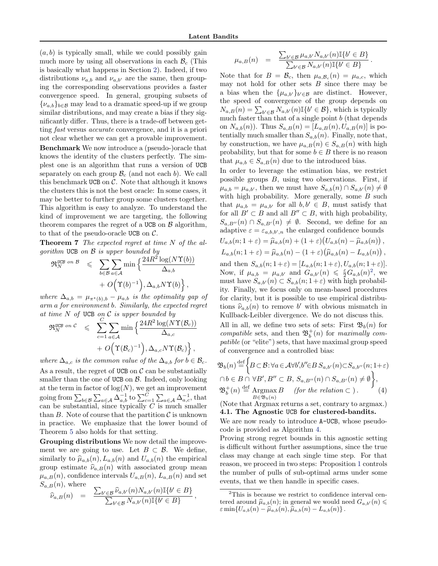<span id="page-5-0"></span> $(a, b)$  is typically small, while we could possibly gain much more by using all observations in each  $\mathcal{B}_c$  (This is basically what happens in Section [2\)](#page-2-0). Indeed, if two distributions  $\nu_{a,b}$  and  $\nu_{a,b'}$  are the same, then grouping the corresponding observations provides a faster convergence speed. In general, grouping subsets of  ${v_{a,b}}_{b\in\mathcal{B}}$  may lead to a dramatic speed-up if we group similar distributions, and may create a bias if they significantly differ. Thus, there is a trade-off between getting fast versus accurate convergence, and it is a priori not clear whether we can get a provable improvement.

Benchmark We now introduce a (pseudo-)oracle that knows the identity of the clusters perfectly. The simplest one is an algorithm that runs a version of UCB separately on each group  $\mathcal{B}_{c}$  (and not each b). We call this benchmark UCB on  $\mathcal C$ . Note that although it knows the clusters this is not the best oracle: In some cases, it may be better to further group some clusters together. This algorithm is easy to analyze. To understand the kind of improvement we are targeting, the following theorem compares the regret of a UCB on  $\beta$  algorithm, to that of the pseudo-oracle UCB on  $\mathcal{C}$ .

**Theorem 7** The expected regret at time N of the algorithm UCB on  $\beta$  is upper bounded by

$$
\mathfrak{R}_N^{\text{UCB on }B} \leqslant \sum_{b \in B} \sum_{a \in A} \min \left\{ \frac{24R^2 \log(N\Upsilon(b))}{\Delta_{a,b}} \right. \\ \left. + O\left(\Upsilon(b)^{-1}\right), \Delta_{a,b} N\Upsilon(b) \right\},
$$

where  $\Delta_{a,b} = \mu_{\pi^*(b),b} - \mu_{a,b}$  is the optimality gap of arm a for environment b. Similarly, the expected regret at time  $N$  of UCB on  $C$  is upper bounded by

$$
\mathfrak{R}_N^{\text{UCB on C}} \leqslant \sum_{c=1}^C \sum_{a \in \mathcal{A}} \min \left\{ \frac{24R^2 \log(N\Upsilon(\mathcal{B}_c))}{\Delta_{a,c}} + O\Big(\Upsilon(\mathcal{B}_c)^{-1}\Big), \Delta_{a,c} N\Upsilon(\mathcal{B}_c) \right\},
$$

where  $\Delta_{a,c}$  is the common value of the  $\Delta_{a,b}$  for  $b \in \mathcal{B}_c$ . As a result, the regret of UCB on  $\mathcal C$  can be substantially smaller than the one of UCB on  $\beta$ . Indeed, only looking at the term in factor of  $log(N)$ , we get an improvement going from  $\sum_{b \in \mathcal{B}} \sum_{a \in \mathcal{A}} \Delta_{a,b}^{-1}$  to  $\sum_{c=1}^C \sum_{a \in \mathcal{A}} \Delta_{a,c}^{-1}$ , that can be substantial, since typically  $C$  is much smaller than B. Note of course that the partition  $\mathcal C$  is unknown in practice. We emphasize that the lower bound of Theorem [5](#page-4-0) also holds for that setting.

Grouping distributions We now detail the improvement we are going to use. Let  $B \subset \mathcal{B}$ . We define, similarly to  $\hat{\mu}_{a,b}(n)$ ,  $L_{a,b}(n)$  and  $U_{a,b}(n)$  the empirical group estimate  $\hat{\nu}_{a,B}(n)$  with associated group mean  $\mu_{a,B}(n)$ , confidence intervals  $U_{a,B}(n)$ ,  $L_{a,B}(n)$  and set  $S_{a,B}(n)$ , where  $\equiv$  $\mathcal{L}^2$  ,  $\mathcal{L}^2$  (n)  $\mathcal{L}^2$  (n)  $\mathcal{L}^2$  (n)

$$
\widehat{\nu}_{a,B}(n) = \frac{\sum_{b' \in \mathcal{B}} \widehat{\nu}_{a,b'}(n) N_{a,b'}(n) \mathbb{I}\{b' \in B\}}{\sum_{b' \in \mathcal{B}} N_{a,b'}(n) \mathbb{I}\{b' \in B\}}
$$

,

$$
\mu_{a,B}(n) = \frac{\sum_{b' \in \mathcal{B}} \mu_{a,b'} N_{a,b'}(n) \mathbb{I}\{b' \in B\}}{\sum_{b' \in \mathcal{B}} N_{a,b'}(n) \mathbb{I}\{b' \in B\}}.
$$

Note that for  $B = \mathcal{B}_c$ , then  $\mu_{a,\mathcal{B}_c}(n) = \mu_{a,c}$ , which may not hold for other sets  $B$  since there may be a bias when the  $\{\mu_{a,b'}\}_{b' \in \mathcal{B}}$  are distinct. However, the speed of convergence of the group depends on  $N_{a,B}(n) = \sum_{b' \in \mathcal{B}} N_{a,b'}(n) \mathbb{I}\{b' \in \mathcal{B}\}\,$ , which is typically much faster than that of a single point  $b$  (that depends on  $N_{a,b}(n)$ . Thus  $S_{a,B}(n) = [L_{a,B}(n), U_{a,B}(n)]$  is potentially much smaller than  $S_{a,b}(n)$ . Finally, note that, by construction, we have  $\mu_{a,B}(n) \in S_{a,B}(n)$  with high probability, but that for some  $b \in B$  there is no reason that  $\mu_{a,b} \in S_{a,B}(n)$  due to the introduced bias.

In order to leverage the estimation bias, we restrict possible groups  $B$ , using two observations. First, if  $\mu_{a,b} = \mu_{a,b'}$ , then we must have  $S_{a,b}(n) \cap S_{a,b'}(n) \neq \emptyset$ with high probability. More generally, some  $B$  such that  $\mu_{a,b} = \mu_{a,b'}$  for all  $b, b' \in B$ , must satisfy that for all  $B' \subset B$  and all  $B'' \subset B$ , with high probability,  $S_{a,B''}(n) \cap S_{a,B'}(n) \neq \emptyset$ . Second, we define for an adaptive  $\varepsilon = \varepsilon_{a,b,b',n}$  the enlarged confidence bounds  $U_{a,b}(n; 1+\varepsilon) = \widehat{\mu}_{a,b}(n) + (1+\varepsilon)\big(U_{a,b}(n) - \widehat{\mu}_{a,b}(n)\big),$ 

$$
L_{a,b}(n; 1+\varepsilon) = \widehat{\mu}_{a,b}(n) - (1+\varepsilon)\big(\widehat{\mu}_{a,b}(n) - L_{a,b}(n)\big),
$$

and then  $S_{a,b}(n; 1+\varepsilon) = [L_{a,b}(n; 1+\varepsilon), U_{a,b}(n; 1+\varepsilon)].$ Now, if  $\mu_{a,b} = \mu_{a,b'}$  and  $G_{a,b'}(n) \leq \frac{\varepsilon}{2} G_{a,b}(n)^2$ , we must have  $S_{a,b'}(n) \subset S_{a,b}(n; 1+\varepsilon)$  with high probability. Finally, we focus only on mean-based procedures for clarity, but it is possible to use empirical distributions  $\hat{\nu}_{a,b}(n)$  to remove b' with obvious mismatch in<br>Kulled Little divergence We do not diverge this Kullback-Leibler divergence. We do not discuss this.

All in all, we define two sets of sets: First  $\mathfrak{B}_b(n)$  for compatible sets, and then  $\mathfrak{B}^+_b(n)$  for maximally compatible (or "elite") sets, that have maximal group speed of convergence and a controlled bias:

$$
\mathfrak{B}_{b}(n) \stackrel{\text{def}}{=} \left\{ B \subset \mathcal{B} : \forall a \in \mathcal{A} \forall b', b'' \in B \ S_{a,b'}(n) \subset S_{a,b''}(n; 1+\varepsilon) \right\}
$$
  
\n
$$
\cap b \in B \cap \forall B', B'' \subset B, S_{a,B''}(n) \cap S_{a,B'}(n) \neq \emptyset \right\},\
$$
  
\n
$$
\mathfrak{B}_{b}^{+}(n) \stackrel{\text{def}}{=} \underset{B \in \mathfrak{B}_{b}(n)}{\text{Argmax}} B \quad \text{(for the relation } \subset ). \tag{4}
$$

(Note that Argmax returns a set, contrary to argmax.) 4.1. The Agnostic UCB for clustered-bandits.

We are now ready to introduce  $A$ -UCB, whose pseudocode is provided as Algorithm [4.](#page-6-0)

Proving strong regret bounds in this agnostic setting is difficult without further assumptions, since the true class may change at each single time step. For that reason, we proceed in two steps: Proposition [1](#page-6-0) controls the number of pulls of sub-optimal arms under some events, that we then handle in specific cases.

<sup>&</sup>lt;sup>2</sup>This is because we restrict to confidence interval centered around  $\hat{\mu}_{a,b}(n)$ ; in general we would need  $G_{a,b'}(n) \leq$  $\varepsilon \min\{U_{a,b}(n) - \widehat{\mu}_{a,b}(n), \widehat{\mu}_{a,b}(n) - L_{a,b}(n)\}.$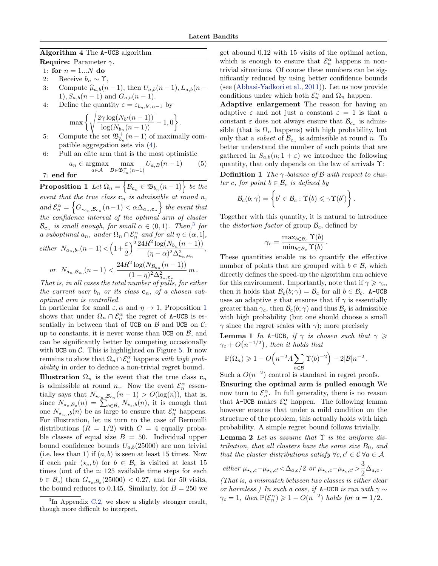.

<span id="page-6-0"></span>Algorithm 4 The A-UCB algorithm

Require: Parameter  $\gamma$ .

- 1: for  $n = 1...N$  do
- 2: Receive  $b_n \sim \Upsilon$ ,<br>3: Compute  $\hat{\mu}_{a,b}(n)$
- Compute  $\hat{\mu}_{a,b}(n-1)$ , then  $U_{a,b}(n-1), L_{a,b}(n-1)$ 1),  $S_{a,b}(n-1)$  and  $G_{a,b}(n-1)$ .
- 4: Define the quantity  $\varepsilon = \varepsilon_{b_n, b', n-1}$  by

$$
\max\bigg\{\sqrt{\frac{2\gamma\log(N_{b'}(n-1))}{\log(N_{b_n}(n-1))}}-1,0\bigg\}
$$

- 5: Compute the set  $\mathfrak{B}^+_{b_n}(n-1)$  of maximally compatible aggregation sets via [\(4\)](#page-5-0).
- 6: Pull an elite arm that is the most optimistic

$$
a_n \in \underset{a \in \mathcal{A}}{\operatorname{argmax}} \max_{B \in \mathfrak{B}_{b_n}^+(n-1)} U_{a,B}(n-1) \qquad (5)
$$
  
7: **end for**

 $\textbf{Proposition 1 \ \ } Let \ \Omega_n = \Big\{ \mathcal{B}_{\mathbf{c}_n} \in \mathfrak{B}_{b_n}(n-1) \Big\} \ \textit{be the}$ event that the true class  $\mathbf{c}_n$  is admissible at round n, and  $\mathcal{E}_n^{\alpha} = \left\{ G_{\star_{\mathbf{c}_n}, \mathcal{B}_{\mathbf{c}_n}}(n-1) < \alpha \Delta_{a_n, \mathbf{c}_n} \right\}$  the event that the confidence interval of the optimal arm of cluster  $\mathcal{B}_{\mathbf{c}_n}$  is small enough, for small  $\alpha \in (0,1)$ . Then,<sup>3</sup> for a suboptimal  $a_n$ , under  $\Omega_n \cap \mathcal{E}_n^{\alpha}$  and for all  $\eta \in (\alpha, 1],$ either  $N_{a_n,b_n}(n-1) < \left(1+\frac{\varepsilon}{2}\right)$ 2  $\frac{2}{2} \frac{24R^2 \log(N_{b_n}(n-1))}{2}$  $(\eta - \alpha)^2 \Delta_{a_n, \mathbf{c}_n}^2$ , or  $N_{a_n,\mathcal{B}_{\mathbf{c}_n}}(n-1)$  <  $\frac{24R^2\log(N_{\mathcal{B}_{\mathbf{c}_n}}(n-1))}{2}$  $(1-\eta)^2 \Delta_{a_n,\mathbf{c}_n}^2$  $m$  .

That is, in all cases the total number of pulls, for either the current user  $b_n$  or its class  $\mathbf{c}_n$ , of a chosen suboptimal arm is controlled.

In particular for small  $\varepsilon, \alpha$  and  $\eta \to 1$ , Proposition 1 shows that under  $\Omega_n \cap \mathcal{E}_n^{\alpha}$  the regret of A-UCB is essentially in between that of UCB on  $\beta$  and UCB on  $\mathcal{C}$ : up to constants, it is never worse than UCB on  $\beta$ , and can be significantly better by competing occasionally with UCB on  $\mathcal{C}$ . This is highlighted on Figure [5.](#page-8-0) It now remains to show that  $\Omega_n \cap \mathcal{E}_n^{\alpha}$  happens with high probability in order to deduce a non-trivial regret bound.

**Illustration**  $\Omega_n$  is the event that the true class  $c_n$ is admissible at round *n*,. Now the event  $\mathcal{E}_n^{\alpha}$  essentially says that  $N_{\star_{c_n},\mathcal{B}_{c_n}}(n-1) > O(\log(n))$ , that is, since  $N_{\star_c,B_c}(n) = \sum_{b \in B_c}^{\infty} N_{\star_c,b}(n)$ , it is enough that one  $N_{\star_{c_n},b}(n)$  be as large to ensure that  $\mathcal{E}_n^{\alpha}$  happens. For illustration, let us turn to the case of Bernoulli distributions  $(R = 1/2)$  with  $C = 4$  equally probable classes of equal size  $B = 50$ . Individual upper bound confidence bounds  $U_{a,b}(25000)$  are non trivial (i.e. less than 1) if  $(a, b)$  is seen at least 15 times. Now if each pair  $(\star_c, b)$  for  $b \in \mathcal{B}_c$  is visited at least 15 times (out of the  $\simeq$  125 available time steps for each  $b \in \mathcal{B}_c$ ) then  $G_{\star_c,\mathcal{B}_c}(25000) < 0.27$ , and for 50 visits, the bound reduces to 0.145. Similarly, for  $B = 250$  we get abound 0.12 with 15 visits of the optimal action, which is enough to ensure that  $\mathcal{E}_n^{\alpha}$  happens in nontrivial situations. Of course these numbers can be significantly reduced by using better confidence bounds (see [\(Abbasi-Yadkori et al.,](#page-9-0) [2011\)](#page-9-0)). Let us now provide conditions under which both  $\mathcal{E}_n^{\alpha}$  and  $\Omega_n$  happen.

Adaptive enlargement The reason for having an adaptive  $\varepsilon$  and not just a constant  $\varepsilon = 1$  is that a constant  $\varepsilon$  does not always ensure that  $\mathcal{B}_{c_n}$  is admissible (that is  $\Omega_n$  happens) with high probability, but only that a *subset* of  $\mathcal{B}_{c_n}$  is admissible at round n. To better understand the number of such points that are gathered in  $S_{a,b}(n; 1+\varepsilon)$  we introduce the following quantity, that only depends on the law of arrivals Υ:

**Definition 1** The  $\gamma$ -balance of B with respect to cluster c, for point  $b \in \mathcal{B}_c$  is defined by

$$
\mathcal{B}_c(b;\gamma)=\left\{b'\in\mathcal{B}_c: \Upsilon(b)\leqslant \gamma\Upsilon(b')\right\}.
$$

Together with this quantity, it is natural to introduce the *distortion factor* of group  $\mathcal{B}_c$ , defined by

$$
\gamma_c = \frac{\max_{b \in \mathcal{B}_c} \Upsilon(b)}{\min_{b \in \mathcal{B}_c} \Upsilon(b)}.
$$

These quantities enable us to quantify the effective number of points that are grouped with  $b \in \mathcal{B}$ , which directly defines the speed-up the algorithm can achieve for this environment. Importantly, note that if  $\gamma \geq \gamma_c$ , then it holds that  $\mathcal{B}_c(b; \gamma) = \mathcal{B}_c$  for all  $b \in \mathcal{B}_c$ . A-UCB uses an adaptive  $\varepsilon$  that ensures that if  $\gamma$  is essentially greater than  $\gamma_c$ , then  $\mathcal{B}_c(b; \gamma)$  and thus  $\mathcal{B}_c$  is admissible with high probability (but one should choose a small  $\gamma$  since the regret scales with  $\gamma$ ); more precisely

**Lemma 1** In A-UCB, if  $\gamma$  is chosen such that  $\gamma \geq$  $\gamma_c+O\big(n^{-1/2}\big),\;$  then it holds that

$$
\mathbb{P}(\Omega_n) \geq 1 - O\left(n^{-2}A \sum_{b \in \mathcal{B}} \Upsilon(b)^{-2}\right) - 2|\mathcal{B}|n^{-2}.
$$

Such a  $O(n^{-2})$  control is standard in regret proofs.

Ensuring the optimal arm is pulled enough We now turn to  $\mathcal{E}_n^{\alpha}$ . In full generality, there is no reason that A-UCB makes  $\mathcal{E}_n^{\alpha}$  happen. The following lemma however ensures that under a mild condition on the structure of the problem, this actually holds with high probability. A simple regret bound follows trivially.

**Lemma 2** Let us assume that  $\Upsilon$  is the uniform distribution, that all clusters have the same size  $B_0$ , and that the cluster distributions satisfy  $\forall c, c' \in C \forall a \in A$ 

either 
$$
\mu_{\star_c,c} - \mu_{\star_c,c'} < \Delta_{a,c}/2
$$
 or  $\mu_{\star_c,c} - \mu_{\star_c,c'} > \frac{3}{2}\Delta_{a,c}$ .

(That is, a mismatch between two classes is either clear or harmless.) In such a case, if A-UCB is run with  $\gamma \sim$  $\gamma_c = 1$ , then  $\mathbb{P}(\mathcal{E}_n^{\alpha}) \geq 1 - O(n^{-2})$  holds for  $\alpha = 1/2$ .

<sup>&</sup>lt;sup>3</sup>In Appendix [C.2,](#page-14-0) we show a slightly stronger result, though more difficult to interpret.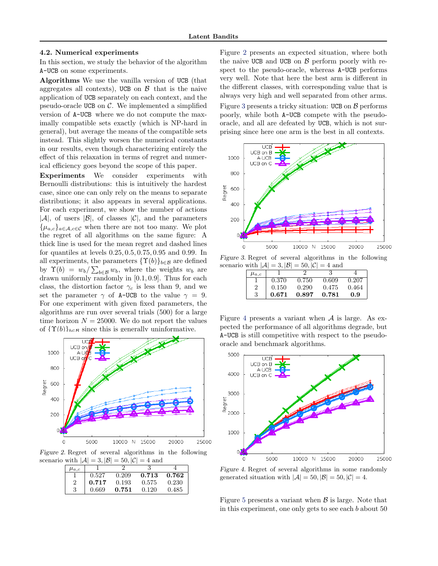#### <span id="page-7-0"></span>4.2. Numerical experiments

In this section, we study the behavior of the algorithm A-UCB on some experiments.

Algorithms We use the vanilla version of UCB (that aggregates all contexts), UCB on  $\beta$  that is the naive application of UCB separately on each context, and the pseudo-oracle UCB on  $C$ . We implemented a simplified version of A-UCB where we do not compute the maximally compatible sets exactly (which is NP-hard in general), but average the means of the compatible sets instead. This slightly worsen the numerical constants in our results, even though characterizing entirely the effect of this relaxation in terms of regret and numerical efficiency goes beyond the scope of this paper.

Experiments We consider experiments with Bernoulli distributions: this is intuitively the hardest case, since one can only rely on the means to separate distributions; it also appears in several applications. For each experiment, we show the number of actions  $|\mathcal{A}|$ , of users  $|\mathcal{B}|$ , of classes  $|\mathcal{C}|$ , and the parameters  ${\{\mu_{a,c}\}}_{a\in\mathcal{A},c\in\mathcal{C}}$  when there are not too many. We plot the regret of all algorithms on the same figure: A thick line is used for the mean regret and dashed lines for quantiles at levels 0.25, 0.5, 0.75, 0.95 and 0.99. In all experiments, the parameters  $\{\Upsilon(b)\}_{b\in\mathcal{B}}$  are defined by  $\Upsilon(b) = w_b / \sum_{b \in \mathcal{B}} w_b$ , where the weights  $w_b$  are drawn uniformly randomly in [0.1, 0.9]. Thus for each class, the distortion factor  $\gamma_c$  is less than 9, and we set the parameter  $\gamma$  of A-UCB to the value  $\gamma = 9$ . For one experiment with given fixed parameters, the algorithms are run over several trials (500) for a large time horizon  $N = 25000$ . We do not report the values of  ${\Upsilon(b)}_{b \in \mathcal{B}}$  since this is generally uninformative.



Figure 2. Regret of several algorithms in the following scenario with  $|\mathcal{A}| = 3$ ,  $|\mathcal{B}| = 50$ ,  $|\mathcal{C}| = 4$  and

|             |       | - - - |       |       |
|-------------|-------|-------|-------|-------|
| $\mu_{a.c}$ |       |       |       |       |
|             | 0.527 | 0.209 | 0.713 | 0.762 |
|             | 0.717 | 0.193 | 0.575 | 0.230 |
| 3           | 0.669 | 0.751 | 0.120 | 0.485 |

Figure 2 presents an expected situation, where both the naive UCB and UCB on  $\beta$  perform poorly with respect to the pseudo-oracle, whereas A-UCB performs very well. Note that here the best arm is different in the different classes, with corresponding value that is always very high and well separated from other arms.

Figure 3 presents a tricky situation: UCB on  $\beta$  performs poorly, while both A-UCB compete with the pseudooracle, and all are defeated by UCB, which is not surprising since here one arm is the best in all contexts.



Figure 3. Regret of several algorithms in the following scenario with  $|\mathcal{A}| = 3$ ,  $|\mathcal{B}| = 50$ ,  $|\mathcal{C}| = 4$  and

| $\mu_{a.c}$ |       |       |       |       |
|-------------|-------|-------|-------|-------|
|             | 0.370 | 0.750 | 0.609 | 0.207 |
| 2           | 0.150 | 0.290 | 0.475 | 0.464 |
| 3           | 0.671 | 0.897 | 0.781 | 0.9   |

Figure 4 presents a variant when  $A$  is large. As expected the performance of all algorithms degrade, but A-UCB is still competitive with respect to the pseudooracle and benchmark algorithms.



Figure 4. Regret of several algorithms in some randomly generated situation with  $|\mathcal{A}| = 50, |\mathcal{B}| = 50, |\mathcal{C}| = 4.$ 

Figure [5](#page-8-0) presents a variant when  $\beta$  is large. Note that in this experiment, one only gets to see each b about 50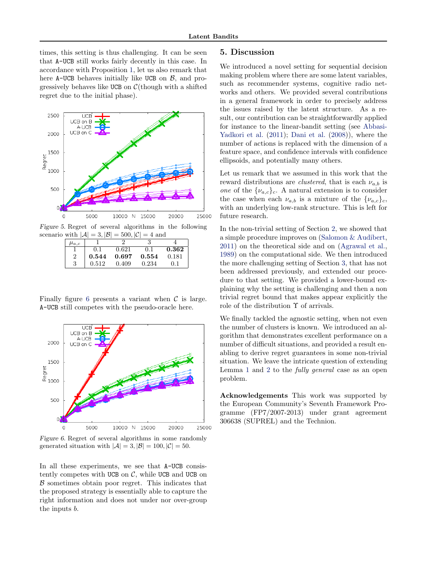<span id="page-8-0"></span>times, this setting is thus challenging. It can be seen that A-UCB still works fairly decently in this case. In accordance with Proposition [1,](#page-6-0) let us also remark that here A-UCB behaves initially like UCB on  $\beta$ , and progressively behaves like UCB on  $C(\text{though with a shifted})$ regret due to the initial phase).



Figure 5. Regret of several algorithms in the following scenario with  $|\mathcal{A}| = 3$ ,  $|\mathcal{B}| = 500$ ,  $|\mathcal{C}| = 4$  and

| $\mu_{a,c}$ |       |       |       |       |
|-------------|-------|-------|-------|-------|
|             | 0.1   | 0.621 | (0,1) | 0.362 |
| 2           | 0.544 | 0.697 | 0.554 | 0.181 |
| 3           | 0.512 | 0.409 | 0.234 |       |

Finally figure 6 presents a variant when  $\mathcal C$  is large. A-UCB still competes with the pseudo-oracle here.



Figure 6. Regret of several algorithms in some randomly generated situation with  $|\mathcal{A}| = 3$ ,  $|\mathcal{B}| = 100$ ,  $|\mathcal{C}| = 50$ .

In all these experiments, we see that A-UCB consistently competes with UCB on  $C$ , while UCB and UCB on  $\beta$  sometimes obtain poor regret. This indicates that the proposed strategy is essentially able to capture the right information and does not under nor over-group the inputs b.

# 5. Discussion

We introduced a novel setting for sequential decision making problem where there are some latent variables, such as recommender systems, cognitive radio networks and others. We provided several contributions in a general framework in order to precisely address the issues raised by the latent structure. As a result, our contribution can be straightforwardly applied for instance to the linear-bandit setting (see [Abbasi-](#page-9-0)[Yadkori et al.](#page-9-0) [\(2011\)](#page-9-0); [Dani et al.](#page-9-0) [\(2008\)](#page-9-0)), where the number of actions is replaced with the dimension of a feature space, and confidence intervals with confidence ellipsoids, and potentially many others.

Let us remark that we assumed in this work that the reward distributions are *clustered*, that is each  $\nu_{a,b}$  is one of the  $\{\nu_{a,c}\}_c$ . A natural extension is to consider the case when each  $\nu_{a,b}$  is a mixture of the  $\{\nu_{a,c}\}_c$ , with an underlying low-rank structure. This is left for future research.

In the non-trivial setting of Section [2,](#page-2-0) we showed that a simple procedure improves on [\(Salomon & Audibert,](#page-9-0) [2011\)](#page-9-0) on the theoretical side and on [\(Agrawal et al.,](#page-9-0) [1989\)](#page-9-0) on the computational side. We then introduced the more challenging setting of Section [3,](#page-4-0) that has not been addressed previously, and extended our procedure to that setting. We provided a lower-bound explaining why the setting is challenging and then a non trivial regret bound that makes appear explicitly the role of the distribution Υ of arrivals.

We finally tackled the agnostic setting, when not even the number of clusters is known. We introduced an algorithm that demonstrates excellent performance on a number of difficult situations, and provided a result enabling to derive regret guarantees in some non-trivial situation. We leave the intricate question of extending Lemma [1](#page-6-0) and [2](#page-6-0) to the fully general case as an open problem.

Acknowledgements This work was supported by the European Community's Seventh Framework Programme (FP7/2007-2013) under grant agreement 306638 (SUPREL) and the Technion.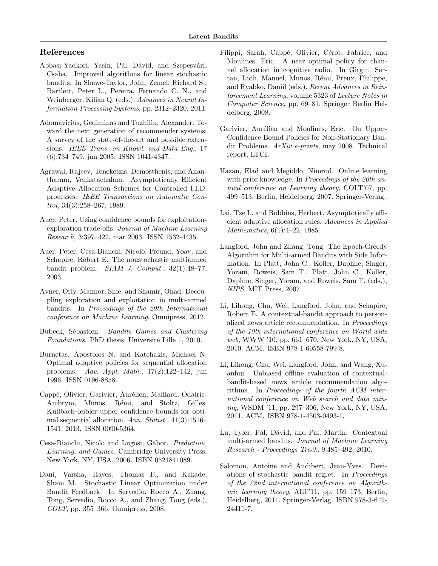# <span id="page-9-0"></span>References

- Abbasi-Yadkori, Yasin, Pál, Dávid, and Szepesvári, Csaba. Improved algorithms for linear stochastic bandits. In Shawe-Taylor, John, Zemel, Richard S., Bartlett, Peter L., Pereira, Fernando C. N., and Weinberger, Kilian Q. (eds.), Advances in Neural Information Processing Systems, pp. 2312–2320, 2011.
- Adomavicius, Gediminas and Tuzhilin, Alexander. Toward the next generation of recommender systems: A survey of the state-of-the-art and possible extensions. IEEE Trans. on Knowl. and Data Eng., 17 (6):734–749, jun 2005. ISSN 1041-4347.
- Agrawal, Rajeev, Teneketzis, Demosthenis, and Anantharam, Venkatachalam. Asymptotically Efficient Adaptive Allocation Schemes for Controlled I.I.D. processes. IEEE Transactions on Automatic Control, 34(3):258–267, 1989.
- Auer, Peter. Using confidence bounds for exploitationexploration trade-offs. Journal of Machine Learning Research, 3:397–422, mar 2003. ISSN 1532-4435.
- Auer, Peter, Cesa-Bianchi, Nicolò, Freund, Yoav, and Schapire, Robert E. The nonstochastic multiarmed bandit problem.  $SIAM$  J. Comput.,  $32(1):48-77$ , 2003.
- Avner, Orly, Mannor, Shie, and Shamir, Ohad. Decoupling exploration and exploitation in multi-armed bandits. In Proceedings of the 29th International conference on Machine Learning. Omnipress, 2012.
- Bubeck, Sébastien. Bandits Games and Clustering Foundations. PhD thesis, Université Lille 1, 2010.
- Burnetas, Apostolos N. and Katehakis, Michael N. Optimal adaptive policies for sequential allocation problems. Adv. Appl. Math., 17(2):122–142, jun 1996. ISSN 0196-8858.
- Cappé, Olivier, Garivier, Aurélien, Maillard, Odalric-Ambrym, Munos, Rémi, and Stoltz, Gilles. Kullback–leibler upper confidence bounds for optimal sequential allocation. Ann. Statist., 41(3):1516– 1541, 2013. ISSN 0090-5364.
- Cesa-Bianchi, Nicolò and Lugosi, Gábor. Prediction, Learning, and Games. Cambridge University Press, New York, NY, USA, 2006. ISBN 0521841089.
- Dani, Varsha, Hayes, Thomas P., and Kakade, Sham M. Stochastic Linear Optimization under Bandit Feedback. In Servedio, Rocco A., Zhang, Tong, Servedio, Rocco A., and Zhang, Tong (eds.), COLT, pp. 355–366. Omnipress, 2008.
- Filippi, Sarah, Cappé, Olivier, Cérot, Fabrice, and Moulines, Eric. A near optimal policy for channel allocation in cognitive radio. In Girgin, Sertan, Loth, Manuel, Munos, Rémi, Preux, Philippe, and Ryabko, Daniil (eds.), Recent Advances in Reinforcement Learning, volume 5323 of Lecture Notes in Computer Science, pp. 69–81. Springer Berlin Heidelberg, 2008.
- Garivier, Aurélien and Moulines, Eric. On Upper-Confidence Bound Policies for Non-Stationary Bandit Problems. ArXiv e-prints, may 2008. Technical report, LTCI.
- Hazan, Elad and Megiddo, Nimrod. Online learning with prior knowledge. In Proceedings of the 20th annual conference on Learning theory, COLT'07, pp. 499–513, Berlin, Heidelberg, 2007. Springer-Verlag.
- Lai, Tze L. and Robbins, Herbert. Asymptotically efficient adaptive allocation rules. Advances in Applied Mathematics, 6(1):4–22, 1985.
- Langford, John and Zhang, Tong. The Epoch-Greedy Algorithm for Multi-armed Bandits with Side Information. In Platt, John C., Koller, Daphne, Singer, Yoram, Roweis, Sam T., Platt, John C., Koller, Daphne, Singer, Yoram, and Roweis, Sam T. (eds.), NIPS. MIT Press, 2007.
- Li, Lihong, Chu, Wei, Langford, John, and Schapire, Robert E. A contextual-bandit approach to personalized news article recommendation. In Proceedings of the 19th international conference on World wide web, WWW '10, pp. 661–670, New York, NY, USA, 2010. ACM. ISBN 978-1-60558-799-8.
- Li, Lihong, Chu, Wei, Langford, John, and Wang, Xuanhui. Unbiased offline evaluation of contextualbandit-based news article recommendation algorithms. In Proceedings of the fourth ACM international conference on Web search and data mining, WSDM '11, pp. 297–306, New York, NY, USA, 2011. ACM. ISBN 978-1-4503-0493-1.
- Lu, Tyler, Pál, Dávid, and Pal, Martin. Contextual multi-armed bandits. Journal of Machine Learning Research - Proceedings Track, 9:485–492, 2010.
- Salomon, Antoine and Audibert, Jean-Yves. Deviations of stochastic bandit regret. In Proceedings of the 22nd international conference on Algorithmic learning theory, ALT'11, pp. 159–173, Berlin, Heidelberg, 2011. Springer-Verlag. ISBN 978-3-642- 24411-7.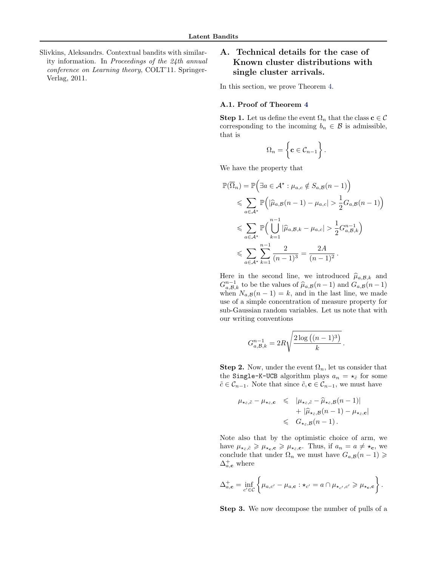<span id="page-10-0"></span>Slivkins, Aleksandrs. Contextual bandits with similarity information. In Proceedings of the 24th annual conference on Learning theory, COLT'11. Springer-Verlag, 2011.

# A. Technical details for the case of Known cluster distributions with single cluster arrivals.

In this section, we prove Theorem [4.](#page-3-0)

## A.1. Proof of Theorem [4](#page-3-0)

**Step 1.** Let us define the event  $\Omega_n$  that the class  $\mathbf{c} \in \mathcal{C}$ corresponding to the incoming  $b_n \in \mathcal{B}$  is admissible, that is

$$
\Omega_n = \left\{ \mathbf{c} \in \mathcal{C}_{n-1} \right\}.
$$

We have the property that

$$
\mathbb{P}(\overline{\Omega}_{n}) = \mathbb{P}\Big(\exists a \in A^* : \mu_{a,c} \notin S_{a,B}(n-1)\Big) \n\leq \sum_{a \in A^*} \mathbb{P}\Big(|\hat{\mu}_{a,B}(n-1) - \mu_{a,c}| > \frac{1}{2}G_{a,B}(n-1)\Big) \n\leq \sum_{a \in A^*} \mathbb{P}\Big(\bigcup_{k=1}^{n-1} |\hat{\mu}_{a,B,k} - \mu_{a,c}| > \frac{1}{2}G_{a,B,k}^{n-1}\Big) \n\leq \sum_{a \in A^*} \sum_{k=1}^{n-1} \frac{2}{(n-1)^3} = \frac{2A}{(n-1)^2}.
$$

Here in the second line, we introduced  $\hat{\mu}_{a,B,k}$  and  $G_{a,B,k}^{n-1}$  to be the values of  $\hat{\mu}_{a,B}(n-1)$  and  $G_{a,B}(n-1)$ when  $N_{a,\mathcal{B}}(n-1) = k$ , and in the last line, we made use of a simple concentration of measure property for sub-Gaussian random variables. Let us note that with our writing conventions

$$
G_{a,\mathcal{B},k}^{n-1} = 2R\sqrt{\frac{2\log\left((n-1)^3\right)}{k}}
$$

**Step 2.** Now, under the event  $\Omega_n$ , let us consider that the Single-K-UCB algorithm plays  $a_n = \star_{\tilde{c}}$  for some  $\tilde{c} \in \mathcal{C}_{n-1}$ . Note that since  $\tilde{c}$ ,  $c \in \mathcal{C}_{n-1}$ , we must have

.

$$
\mu_{\star_{\tilde{c}},\tilde{c}} - \mu_{\star_{\tilde{c}},\mathbf{c}} \leqslant |\mu_{\star_{\tilde{c}},\tilde{c}} - \widehat{\mu}_{\star_{\tilde{c}},\mathcal{B}}(n-1)| \n+ |\widehat{\mu}_{\star_{\tilde{c}},\mathcal{B}}(n-1) - \mu_{\star_{\tilde{c}},\mathbf{c}}| \n\leqslant G_{\star_{\tilde{c}},\mathcal{B}}(n-1).
$$

Note also that by the optimistic choice of arm, we have  $\mu_{\star_{\tilde{c}},\tilde{c}} \geq \mu_{\star_{\bf c},{\bf c}} \geq \mu_{\star_{\tilde{c}}, {\bf c}}$ . Thus, if  $a_n = a \neq \star_{\bf c}$ , we conclude that under  $\Omega_n$  we must have  $G_{a,\mathcal{B}}(n-1) \geq$  $\Delta_{a,\mathbf{c}}^+$  where

$$
\Delta_{a,\mathbf{c}}^+ = \inf_{c' \in \mathcal{C}} \left\{ \mu_{a,c'} - \mu_{a,\mathbf{c}} : \star_{c'} = a \cap \mu_{\star_{c'},c'} \geq \mu_{\star_{\mathbf{c}},\mathbf{c}} \right\}.
$$

Step 3. We now decompose the number of pulls of a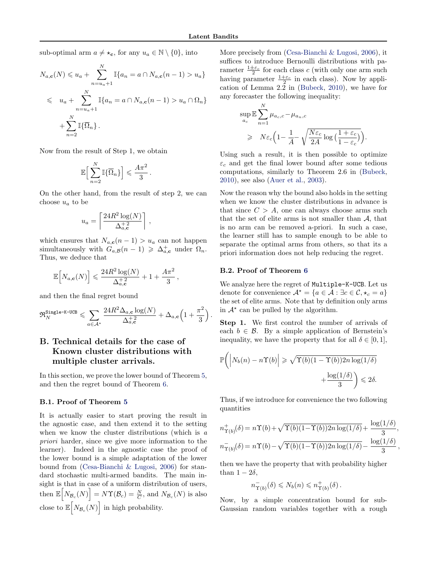sub-optimal arm  $a \neq \star_c$ , for any  $u_a \in \mathbb{N} \setminus \{0\}$ , into

$$
N_{a,\mathbf{c}}(N) \leq u_a + \sum_{n=u_a+1}^{N} \mathbb{I}\{a_n = a \cap N_{a,\mathbf{c}}(n-1) > u_a\}
$$
  

$$
\leq u_a + \sum_{n=u_a+1}^{N} \mathbb{I}\{a_n = a \cap N_{a,\mathbf{c}}(n-1) > u_a \cap \Omega_n\}
$$
  

$$
+ \sum_{n=2}^{N} \mathbb{I}\{\overline{\Omega}_n\}.
$$

Now from the result of Step 1, we obtain

$$
\mathbb{E}\Big[\sum_{n=2}^N\mathbb{I}\{\overline{\Omega}_n\}\Big]\leqslant \frac{A\pi^2}{3}\,.
$$

On the other hand, from the result of step 2, we can choose  $u_a$  to be

,

$$
u_a = \left\lceil \frac{24R^2 \log(N)}{\Delta_{a,\mathbf{c}}^{+2}} \right\rceil
$$

which ensures that  $N_{a,\mathbf{c}}(n-1) > u_a$  can not happen simultaneously with  $G_{a,B}(n-1) \geq \Delta_{a,\mathbf{c}}^+$  under  $\Omega_n$ . Thus, we deduce that

$$
\mathbb{E}\Big[N_{a,\mathbf{c}}(N)\Big] \leqslant \frac{24R^2\log(N)}{\Delta_{a,\mathbf{c}}^{+2}} + 1 + \frac{A\pi^2}{3},
$$

and then the final regret bound

$$
\mathfrak{R}^{\texttt{Single-K-UCB}}_{N} \leqslant \sum_{a \in \mathcal{A}^{\star}} \frac{24 R^2 \Delta_{a,\mathbf{c}} \log(N)}{\Delta_{a,\mathbf{c}}^{+2}} + \Delta_{a,\mathbf{c}} \Big(1+\frac{\pi^2}{3}\Big) \,.
$$

# B. Technical details for the case of Known cluster distributions with multiple cluster arrivals.

In this section, we prove the lower bound of Theorem [5,](#page-4-0) and then the regret bound of Theorem [6.](#page-4-0)

#### B.1. Proof of Theorem [5](#page-4-0)

It is actually easier to start proving the result in the agnostic case, and then extend it to the setting when we know the cluster distributions (which is a priori harder, since we give more information to the learner). Indeed in the agnostic case the proof of the lower bound is a simple adaptation of the lower bound from [\(Cesa-Bianchi & Lugosi,](#page-9-0) [2006\)](#page-9-0) for standard stochastic multi-armed bandits. The main insight is that in case of a uniform distribution of users, then  $\mathbb{E}\left[N_{\mathcal{B}_c}(N)\right] = N\Upsilon(\mathcal{B}_c) = \frac{N}{C}$ , and  $N_{\mathcal{B}_c}(N)$  is also close to  $\mathbb{E}\left[N_{\mathcal{B}_c}(N)\right]$  in high probability.

More precisely from [\(Cesa-Bianchi & Lugosi,](#page-9-0) [2006\)](#page-9-0), it suffices to introduce Bernoulli distributions with parameter  $\frac{1 \pm \varepsilon_c}{2}$  for each class c (with only one arm such having parameter  $\frac{1+\varepsilon_c}{2}$  in each class). Now by application of Lemma  $2.\overline{2}$  in [\(Bubeck,](#page-9-0) [2010\)](#page-9-0), we have for any forecaster the following inequality:

$$
\sup_{a_c} \mathbb{E} \sum_{n=1}^N \mu_{a_c,c} - \mu_{a_n,c}
$$
\n
$$
\geq N \varepsilon_c \left( 1 - \frac{1}{A} - \sqrt{\frac{N \varepsilon_c}{2A} \log \left( \frac{1 + \varepsilon_c}{1 - \varepsilon_c} \right)} \right).
$$

Using such a result, it is then possible to optimize  $\varepsilon_c$  and get the final lower bound after some tedious computations, similarly to Theorem 2.6 in [\(Bubeck,](#page-9-0) [2010\)](#page-9-0), see also [\(Auer et al.,](#page-9-0) [2003\)](#page-9-0).

Now the reason why the bound also holds in the setting when we know the cluster distributions in advance is that since  $C > A$ , one can always choose arms such that the set of elite arms is not smaller than  $A$ , that is no arm can be removed a-priori. In such a case, the learner still has to sample enough to be able to separate the optimal arms from others, so that its a priori information does not help reducing the regret.

## B.2. Proof of Theorem [6](#page-4-0)

We analyze here the regret of Multiple-K-UCB. Let us denote for convenience  $\mathcal{A}^* = \{a \in \mathcal{A} : \exists c \in \mathcal{C}, \star_c = a\}$ the set of elite arms. Note that by definition only arms in  $A^*$  can be pulled by the algorithm.

Step 1. We first control the number of arrivals of each  $b \in \mathcal{B}$ . By a simple application of Bernstein's inequality, we have the property that for all  $\delta \in [0, 1]$ ,

$$
\mathbb{P}\bigg(\bigg|N_b(n) - n\Upsilon(b)\bigg| \geq \sqrt{\Upsilon(b)(1-\Upsilon(b))2n\log(1/\delta)} + \frac{\log(1/\delta)}{3}\bigg) \leq 2\delta.
$$

Thus, if we introduce for convenience the two following quantities

$$
n_{\Upsilon(b)}^{+}(\delta) = n\Upsilon(b) + \sqrt{\Upsilon(b)(1-\Upsilon(b))2n\log(1/\delta)} + \frac{\log(1/\delta)}{3},
$$
  

$$
n_{\Upsilon(b)}^{-}(\delta) = n\Upsilon(b) - \sqrt{\Upsilon(b)(1-\Upsilon(b))2n\log(1/\delta)} - \frac{\log(1/\delta)}{3},
$$

then we have the property that with probability higher than  $1 - 2\delta$ ,

$$
n_{\Upsilon(b)}^-(\delta) \leq N_b(n) \leq n_{\Upsilon(b)}^+(\delta).
$$

Now, by a simple concentration bound for sub-Gaussian random variables together with a rough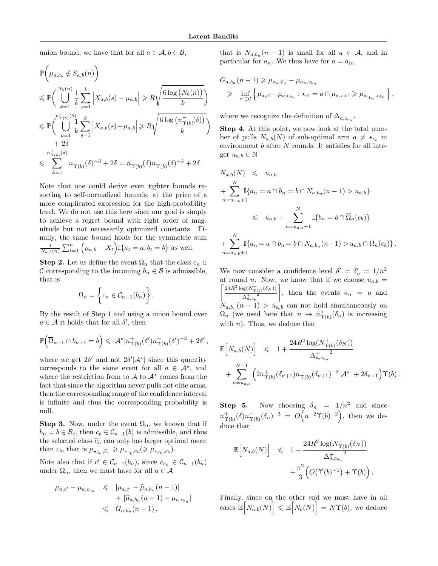union bound, we have that for all  $a \in \mathcal{A}, b \in \mathcal{B}$ ,

$$
\mathbb{P}\left(\mu_{a,c_b} \notin S_{a,b}(n)\right)
$$
\n
$$
\leq \mathbb{P}\left(\bigcup_{k=1}^{N_b(n)} \frac{1}{k} \sum_{s=1}^k \left|X_{a,b}(s) - \mu_{a,b}\right| \geq R\sqrt{\frac{6\log\left(N_b(n)\right)}{k}}\right)
$$
\n
$$
\leq \mathbb{P}\left(\bigcup_{k=1}^{n_{\Upsilon(b)}^+(b)} \frac{1}{k} \sum_{s=1}^k \left|X_{a,b}(s) - \mu_{a,b}\right| \geq R\sqrt{\frac{6\log\left(n_{\Upsilon(b)}^-(b)\right)}{k}}\right)
$$
\n
$$
+ 2\delta
$$
\n
$$
\leq \sum_{k=1}^{n_{\Upsilon(b)}^+(b)} n_{\Upsilon(b)}^-(\delta)^{-3} + 2\delta = n_{\Upsilon(b)}^+(\delta)n_{\Upsilon(b)}^-(\delta)^{-3} + 2\delta.
$$

Note that one could derive even tighter bounds resorting to self-normalized bounds, at the price of a more complicated expression for the high-probability level. We do not use this here since our goal is simply to achieve a regret bound with right order of magnitude but not necessarily optimized constants. Finally, the same bound holds for the symmetric sum  $\frac{1}{N_{a,b}(n)} \sum_{t=1}^{n} (\mu_{a,b} - X_t) \mathbb{I}\{a_t = a, b_t = b\}$  as well.

**Step 2.** Let us define the event  $\Omega_n$  that the class  $c_n \in$ C corresponding to the incoming  $b_n \in \mathcal{B}$  is admissible, that is

$$
\Omega_n = \left\{ c_n \in \mathcal{C}_{n-1}(b_n) \right\}.
$$

By the result of Step 1 and using a union bound over  $a \in \mathcal{A}$  it holds that for all  $\delta'$ , then

$$
\mathbb{P}\Big(\overline{\Omega}_{n+1}\cap b_{n+1}=b\Big)\leqslant |\mathcal{A}^{\star}|n_{\Upsilon(b)}^{+}(\delta')n_{\Upsilon(b)}^{-}(\delta')^{-3}+2\delta',
$$

where we get  $2\delta'$  and not  $2\delta'|\mathcal{A}^{\star}|$  since this quantity corresponds to the same event for all  $a \in \mathcal{A}^*$ , and where the restriction from to  $\mathcal A$  to  $\mathcal A^*$  comes from the fact that since the algorithm never pulls not elite arms, then the corresponding range of the confidence interval is infinite and thus the corresponding probability is null.

**Step 3.** Now, under the event  $\Omega_n$ , we known that if  $b_n = b \in \mathcal{B}_c$ , then  $c_b \in \mathcal{C}_{n-1}(b)$  is admissible, and thus the selected class  $\hat{c}_n$  can only has larger optimal mean than  $c_b$ , that is  $\mu_{\star_{\widehat{c}_n},\widehat{c}_n} \geq \mu_{\star_{c_b},c_b} (\geq \mu_{\star_{\widehat{c}_n},c_b}).$ 

Note also that if  $c' \in C_{n-1}(b_n)$ , since  $c_{b_n} \in C_{n-1}(b_n)$ under  $\Omega_n$ , then we must have for all  $a \in \mathcal{A}$ 

$$
\mu_{a,c'} - \mu_{a,c_{b_n}} \leq \mu_{a,c'} - \widehat{\mu}_{a,b_n}(n-1) + |\widehat{\mu}_{a,b_n}(n-1) - \mu_{a,c_{b_n}}|
$$
  

$$
\leq G_{a,b_n}(n-1),
$$

that is  $N_{a,b_n}(n-1)$  is small for all  $a \in \mathcal{A}$ , and in particular for  $a_n$ . We thus have for  $a = a_n$ ,

$$
G_{a,b_n}(n-1) \ge \mu_{a_n,\widehat{c}_n} - \mu_{a_n,c_{b_n}} \ge \inf_{c' \in C} \left\{ \mu_{a,c'} - \mu_{a,c_{b_n}} : \star_{c'} = a \cap \mu_{\star_{c'},c'} \ge \mu_{\star_{c_{b_n}},c_{b_n}} \right\},
$$

where we recognize the definition of  $\Delta^+_{a,c_{b_n}}$ .

Step 4. At this point, we now look at the total number of pulls  $N_{a,b}(N)$  of sub-optimal arm  $a \neq \star_{c_b}$  in environment  $b$  after  $N$  rounds. It satisfies for all integer  $u_{a,b} \in \mathbb{N}$ 

$$
N_{a,b}(N) \leq u_{a,b}
$$
  
+  $\sum_{n=u_{a,b}+1}^{N} \mathbb{I}\{a_n = a \cap b_n = b \cap N_{a,b_n}(n-1) > u_{a,b}\}$   
 $\leq u_{a,b} + \sum_{n=u_{a,b}+1}^{N} \mathbb{I}\{b_n = b \cap \overline{\Omega}_n(c_b)\}$   
+  $\sum_{n=u_{a,b}+1}^{N} \mathbb{I}\{a_n = a \cap b_n = b \cap N_{a,b_n}(n-1) > u_{a,b} \cap \Omega_n(c_b)\}.$ 

We now consider a confidence level  $\delta' = \delta'_n = 1/n^2$ at round n. Now, we know that if we choose  $u_{a,b} =$  $24R^2\log(N^+_{\Upsilon(b)}(\delta_N))$  $\Delta_{a,\,c_{\,b}}^{+}{}^2$ 1 , then the events  $a_n = a$  and  $N_{a,b_n}(n-1) > u_{a,b}$  can not hold simultaneously on  $\Omega_n$  (we used here that  $n \to n_{\Upsilon(b)}^+(\delta_n)$  is increasing with  $n$ ). Thus, we deduce that

$$
\mathbb{E}\Big[N_{a,b}(N)\Big] \leq 1 + \frac{24R^2\log(N_{\Upsilon(b)}^+(\delta_N))}{\Delta_{a,c_{b_n}}^+} + \sum_{n=u_{a,b}}^{N-1} \left(2n_{\Upsilon(b)}^+(\delta_{n+1})n_{\Upsilon(b)}^-(\delta_{n+1})^{-3}|\mathcal{A}^{\star}| + 2\delta_{n+1}\right)\Upsilon(b).
$$

**Step 5.** Now choosing  $\delta_n = 1/n^2$  and since  $n_{\Upsilon(b)}^{+}(\delta)n_{\Upsilon(b)}^{-}(\delta_n)^{-3} = O(n^{-2}\Upsilon(b)^{-2}),$  then we deduce that

$$
\begin{array}{rcl} \mathbb{E}\Big[N_{a,b}(N)\Big] & \leqslant & \displaystyle 1+\frac{24R^2\log(N_{\Upsilon(b)}^+(\delta_N))}{\Delta_{a,c_{b_n}}^+} \\ & & \displaystyle +\frac{\pi^2}{3}\Big(O\big(\Upsilon(b)^{-1}\big)+\Upsilon(b)\Big) \end{array}
$$

.

Finally, since on the other end we must have in all cases  $\mathbb{E}\left[N_{a,b}(N)\right] \leq \mathbb{E}\left[N_b(N)\right] = N\Upsilon(b)$ , we deduce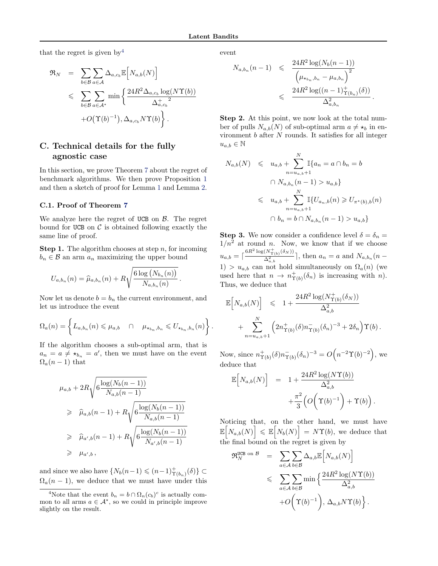that the regret is given by  $4$ 

$$
\mathfrak{R}_{N} = \sum_{b \in \mathcal{B}} \sum_{a \in \mathcal{A}} \Delta_{a,c_{b}} \mathbb{E}\Big[N_{a,b}(N)\Big]
$$
  
\$\leqslant \sum\_{b \in \mathcal{B}} \sum\_{a \in \mathcal{A}^{\star}} \min\Big\{\frac{24R^{2}\Delta\_{a,c\_{b}}\log(N\Upsilon(b))}{\Delta\_{a,c\_{b}}^{\dagger}2}\Big\}\$  
+ O(\Upsilon(b)^{-1}), \Delta\_{a,c\_{b}} N\Upsilon(b)\Big\}\$.

# C. Technical details for the fully agnostic case

In this section, we prove Theorem [7](#page-5-0) about the regret of benchmark algorithms. We then prove Proposition [1](#page-6-0) and then a sketch of proof for Lemma [1](#page-6-0) and Lemma [2.](#page-6-0)

#### C.1. Proof of Theorem [7](#page-5-0)

We analyze here the regret of UCB on  $\beta$ . The regret bound for UCB on  $\mathcal C$  is obtained following exactly the same line of proof.

**Step 1.** The algorithm chooses at step n, for incoming  $b_n \in \mathcal{B}$  an arm  $a_n$  maximizing the upper bound

$$
U_{a,b_n}(n) = \widehat{\mu}_{a,b_n}(n) + R \sqrt{\frac{6 \log (N_{b_n}(n))}{N_{a,b_n}(n)}}.
$$

Now let us denote  $b = b_n$  the current environment, and let us introduce the event

$$
\Omega_a(n) = \left\{ L_{a,b_n}(n) \leq \mu_{a,b} \quad \cap \quad \mu_{\star_{b_n},b_n} \leq U_{\star_{b_n},b_n}(n) \right\}.
$$

If the algorithm chooses a sub-optimal arm, that is  $a_n = a \neq \star_{b_n} = a'$ , then we must have on the event  $\Omega_a(n-1)$  that

$$
\mu_{a,b} + 2R \sqrt{6 \frac{\log(N_b(n-1))}{N_{a,b}(n-1)}}
$$
\n
$$
\geq \hat{\mu}_{a,b}(n-1) + R \sqrt{6 \frac{\log(N_b(n-1))}{N_{a,b}(n-1)}}
$$
\n
$$
\geq \hat{\mu}_{a',b}(n-1) + R \sqrt{6 \frac{\log(N_b(n-1))}{N_{a',b}(n-1)}}
$$
\n
$$
\geq \mu_{a',b},
$$

and since we also have  $\{N_b(n-1) \leqslant (n-1)_{\Upsilon(b_n)}^+(\delta)\} \subset$  $\Omega_a(n-1)$ , we deduce that we must have under this event

$$
N_{a,b_n}(n-1) \leq \frac{24R^2 \log(N_b(n-1))}{(\mu_{\star_{b_n},b_n} - \mu_{a,b_n})^2} \leq \frac{24R^2 \log((n-1)^+_{\Upsilon(b_n)}(\delta))}{\Delta^2_{a,b_n}}
$$

.

Step 2. At this point, we now look at the total number of pulls  $N_{a,b}(N)$  of sub-optimal arm  $a \neq \star_b$  in environment b after N rounds. It satisfies for all integer  $u_{a,b} \in \mathbb{N}$ 

$$
N_{a,b}(N) \leq u_{a,b} + \sum_{n=u_{a,b}+1}^{N} \mathbb{I}\{a_n = a \cap b_n = b
$$
  

$$
\cap N_{a,b_n}(n-1) > u_{a,b}\}
$$
  

$$
\leq u_{a,b} + \sum_{n=u_{a,b}+1}^{N} \mathbb{I}\{U_{a_n,b}(n) \geq U_{\pi^*(b),b}(n)
$$
  

$$
\cap b_n = b \cap N_{a,b_n}(n-1) > u_{a,b}\}
$$

**Step 3.** We now consider a confidence level  $\delta = \delta_n =$  $1/n^2$  at round n. Now, we know that if we choose  $u_{a,b} = \lceil \frac{6R^2 \log(N_{\Upsilon(b)}^+(\delta_N))}{\Delta_{a,b}^2} \rceil$  $\frac{\sum_{i=1}^{n} a_i}{\Delta_{a,b}^2}$ , then  $a_n = a$  and  $N_{a,b_n}$  (n – 1) >  $u_{a,b}$  can not hold simultaneously on  $\Omega_a(n)$  (we used here that  $n \to n_{\Upsilon(b)}^+(\delta_n)$  is increasing with n). Thus, we deduce that

$$
\mathbb{E}\Big[N_{a,b}(N)\Big] \leq 1 + \frac{24R^2\log(N_{\Upsilon(b)}^+(\delta_N))}{\Delta_{a,b}^2} + \sum_{n=u_{a,b}+1}^N \left(2n_{\Upsilon(b)}^+(\delta)n_{\Upsilon(b)}^-(\delta_n)^{-3} + 2\delta_n\right)\Upsilon(b).
$$

Now, since  $n_{\Upsilon(b)}^+(\delta)n_{\Upsilon(b)}^-(\delta_n)^{-3} = O\Big(n^{-2}\Upsilon(b)^{-2}\Big)$ , we deduce that

$$
\mathbb{E}\Big[N_{a,b}(N)\Big] = 1 + \frac{24R^2\log(N\Upsilon(b))}{\Delta_{a,b}^2} + \frac{\pi^2}{3}\Big(O\Big(\Upsilon(b)^{-1}\Big) + \Upsilon(b)\Big).
$$

Noticing that, on the other hand, we must have  $\mathbb{E}\left[N_{a,b}(N)\right] \leq \mathbb{E}\left[N_b(N)\right] = N\Upsilon(b)$ , we deduce that the final bound on the regret is given by

$$
\mathfrak{R}_{N}^{\text{UCB on } \mathcal{B}} = \sum_{a \in \mathcal{A}} \sum_{b \in \mathcal{B}} \Delta_{a,b} \mathbb{E} \Big[ N_{a,b}(N) \Big] \n\leqslant \sum_{a \in \mathcal{A}} \sum_{b \in \mathcal{B}} \min \Big\{ \frac{24R^2 \log(N\Upsilon(b))}{\Delta_{a,b}^2} + O\Big(\Upsilon(b)^{-1}\Big), \Delta_{a,b} N \Upsilon(b) \Big\}.
$$

<sup>&</sup>lt;sup>4</sup>Note that the event  $b_n = b \cap \Omega_n(c_b)^c$  is actually common to all arms  $a \in \mathcal{A}^*$ , so we could in principle improve slightly on the result.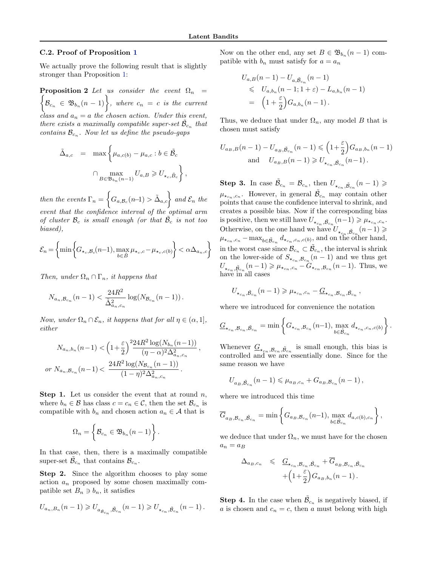,

,

#### <span id="page-14-0"></span>C.2. Proof of Proposition [1](#page-6-0)

We actually prove the following result that is slightly stronger than Proposition [1:](#page-6-0)

**Proposition 2** Let us consider the event  $\Omega_n$  =  $\Big\{\mathcal{B}_{c_n} \in \mathfrak{B}_{b_n}(n-1)\Big\},\$  where  $c_n = c$  is the current class and  $a_n = a$  the chosen action. Under this event, there exists a maximally compatible super-set  $\tilde{\mathcal{B}}_{c_n}$  that contains  $\mathcal{B}_{c_n}$ . Now let us define the pseudo-gaps

$$
\tilde{\Delta}_{a,c} = \max \left\{ \mu_{a,c(b)} - \mu_{a,c} : b \in \tilde{\mathcal{B}}_c \right\}
$$

$$
\bigcap_{B \in \mathfrak{B}_{b_n}(n-1)} U_{a,B} \geq U_{\star_c, \tilde{B}_c} \right\}
$$

then the events  $\Gamma_n =$  $\sqrt{ }$  $G_{a, \mathcal{B}_c}(n-1) > \tilde{\Delta}_{a, c}$  and  $\mathcal{E}_n$  the event that the confidence interval of the optimal arm of cluster  $\mathcal{B}_c$  is small enough (or that  $\tilde{\mathcal{B}}_c$  is not too biased),

$$
\mathcal{E}_n = \left\{ \min \left\{ G_{\star_c, \mathcal{B}_c}(n-1), \max_{b \in \tilde{B}} \mu_{\star_c, c} - \mu_{\star_c, c(b)} \right\} < \alpha \Delta_{a_n, c} \right\}
$$

Then, under  $\Omega_n \cap \Gamma_n$ , it happens that

$$
N_{a_n, \mathcal{B}_{c_n}}(n-1) < \frac{24R^2}{\tilde{\Delta}_{a_n, c_n}^2} \log(N_{\mathcal{B}_{c_n}}(n-1)) \, .
$$

Now, under  $\Omega_n \cap \mathcal{E}_n$ , it happens that for all  $\eta \in (\alpha, 1]$ , either

$$
N_{a_n,b_n}(n-1) < \left(1 + \frac{\varepsilon}{2}\right)^{2} \frac{24R^2 \log(N_{b_n}(n-1))}{(\eta - \alpha)^{2} \Delta_{a_n,c_n}^{2}}
$$
  
or 
$$
N_{a_n,\mathcal{B}_{c_n}}(n-1) < \frac{24R^2 \log(N_{\mathcal{B}_{c_n}}(n-1))}{(1 - \eta)^{2} \Delta_{a_n,c_n}^{2}}.
$$

**Step 1.** Let us consider the event that at round  $n$ , where  $b_n \in \mathcal{B}$  has class  $c = c_n \in \mathcal{C}$ , then the set  $\mathcal{B}_{c_n}$  is compatible with  $b_n$  and chosen action  $a_n \in \mathcal{A}$  that is

$$
\Omega_n = \left\{ \mathcal{B}_{c_n} \in \mathfrak{B}_{b_n}(n-1) \right\}.
$$

In that case, then, there is a maximally compatible super-set  $\tilde{\mathcal{B}}_{c_n}$  that contains  $\mathcal{B}_{c_n}$ .

Step 2. Since the algorithm chooses to play some action  $a_n$  proposed by some chosen maximally compatible set  $B_n \ni b_n$ , it satisfies

$$
U_{a_n,B_n}(n-1) \geqslant U_{a_{\tilde{\mathcal{B}}_{c_n}},\tilde{\mathcal{B}}_{c_n}}(n-1) \geqslant U_{\star_{c_n},\tilde{\mathcal{B}}_{c_n}}(n-1)\,.
$$

Now on the other end, any set  $B \in \mathfrak{B}_{b_n}(n-1)$  compatible with  $b_n$  must satisfy for  $a = a_n$ 

$$
U_{a,B}(n-1) - U_{a,\tilde{B}_{c_n}}(n-1)
$$
  
\$\leq U\_{a,b\_n}(n-1; 1+\varepsilon) - L\_{a,b\_n}(n-1)\$  
=  $\left(1 + \frac{\varepsilon}{2}\right)G_{a,b_n}(n-1).$ 

Thus, we deduce that under  $\Omega_n$ , any model B that is chosen must satisfy

$$
U_{a_B,B}(n-1) - U_{a_B,\tilde{\mathcal{B}}_{c_n}}(n-1) \leq (1 + \frac{\varepsilon}{2}) G_{a_B,b_n}(n-1)
$$
  
and  $U_{a_B,B}(n-1) \geq U_{\star_{c_n},\tilde{\mathcal{B}}_{c_n}}(n-1)$ .

**Step 3.** In case  $\tilde{\mathcal{B}}_{c_n} = \mathcal{B}_{c_n}$ , then  $U_{\star_{c_n}, \tilde{\mathcal{B}}_{c_n}}(n-1) \geqslant$  $\mu_{\star_{c_n},c_n}$ . However, in general  $\tilde{\mathcal{B}}_{c_n}$  may contain other points that cause the confidence interval to shrink, and creates a possible bias. Now if the corresponding bias is positive, then we still have  $U_{\star_{c_n}, \tilde{B}_{c_n}}(n-1) \geq \mu_{\star_{c_n}, c_n}$ . Otherwise, on the one hand we have  $U_{\star_{\zeta_n}, \tilde{\mathcal{B}}_{c_n}}(n-1) \geqslant$  $\mu_{\star_{c_n},c_n}$  – max $_{b \in \tilde{\mathcal{B}}_{c_n}} d_{\star_{c_n},c_n,c(b)},$  and on the other hand, in the worst case since  $\mathcal{B}_{c_n} \subset \tilde{\mathcal{B}}_{c_n}$ , the interval is shrink on the lower-side of  $S_{\star_{c_n},\mathcal{B}_{c_n}}(n-1)$  and we thus get  $U_{\star_{c_n}, \tilde{\mathcal{B}}_{c_n}}(n-1) \geq \mu_{\star_{c_n}, c_n} - G_{\star_{c_n}, \mathcal{B}_{c_n}}(n-1)$ . Thus, we have in all cases

$$
U_{\star_{c_n},\tilde{B}_{c_n}}(n-1) \geq \mu_{\star_{c_n},c_n} - \underline{G}_{\star_{c_n},\mathcal{B}_{c_n},\tilde{B}_{c_n}}\,,
$$

where we introduced for convenience the notation

$$
\underline{G}_{\star_{c_n},\mathcal{B}_{c_n},\tilde{\mathcal{B}}_{c_n}} = \min \left\{ G_{\star_{c_n},\mathcal{B}_{c_n}}(n-1), \max_{b \in \tilde{\mathcal{B}}_{c_n}} d_{\star_{c_n},c_n,c(b)} \right\}
$$

.

Whenever  $G_{\star_{c_n}, \mathcal{B}_{c_n}, \tilde{\mathcal{B}}_{c_n}}$  is small enough, this bias is controlled and we are essentially done. Since for the same reason we have

$$
U_{a_B, \tilde{B}_{c_n}}(n-1) \leq \mu_{a_B, c_n} + G_{a_B, \mathcal{B}_{c_n}}(n-1),
$$

where we introduced this time

$$
\overline{G}_{a_B, \mathcal{B}_{c_n}, \tilde{\mathcal{B}}_{c_n}} = \min \left\{ G_{a_B, \mathcal{B}_{c_n}}(n-1), \max_{b \in \tilde{\mathcal{B}}_{c_n}} d_{a, c(b), c_n} \right\},\,
$$

we deduce that under  $\Omega_n$ , we must have for the chosen  $a_n = a_B$ 

$$
\Delta_{a_B,c_n} \leq \frac{G_{\star_{c_n},\mathcal{B}_{c_n},\tilde{\mathcal{B}}_{c_n}} + \overline{G}_{a_B,\mathcal{B}_{c_n},\tilde{\mathcal{B}}_{c_n}}}{\left(1 + \frac{\varepsilon}{2}\right)G_{a_B,b_n}(n-1)}.
$$

**Step 4.** In the case when  $\tilde{\beta}_{c_n}$  is negatively biased, if a is chosen and  $c_n = c$ , then a must belong with high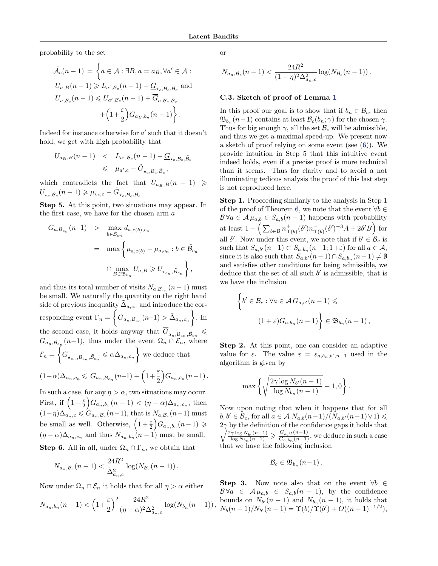probability to the set

$$
\tilde{\mathcal{A}}_c(n-1) = \left\{ a \in \mathcal{A} : \exists B, a = a_B, \forall a' \in \mathcal{A} :
$$

$$
U_{a,B}(n-1) \geqslant L_{a',B_c}(n-1) - \underline{G}_{\star_c,B_c,\tilde{B}_c} \text{ and }
$$

$$
U_{a,\tilde{B}_c}(n-1) \leqslant U_{a',B_c}(n-1) + \overline{G}_{a,B_c,\tilde{B}_c} + \left(1 + \frac{\varepsilon}{2}\right) G_{a_B,b_n}(n-1)\right\}.
$$

Indeed for instance otherwise for a ′ such that it doesn't hold, we get with high probability that

$$
U_{a_B,B}(n-1) \quad < \quad L_{a',\mathcal{B}_c}(n-1) - \underline{G}_{\star_c,\mathcal{B}_c,\tilde{\mathcal{B}}_c}
$$
\n
$$
\leqslant \quad \mu_{a',c} - \tilde{G}_{\star_c,\mathcal{B}_c,\tilde{\mathcal{B}}_c} \,,
$$

which contradicts the fact that  $U_{a_B,B}(n - 1) \ge$  $U_{\star_c, \tilde{\mathcal{B}}_c}(n-1) \geq \mu_{\star_c,c} - \tilde{G}_{\star_c, \mathcal{B}_c, \tilde{\mathcal{B}}_c}.$ 

Step 5. At this point, two situations may appear. In the first case, we have for the chosen arm  $a$ 

$$
G_{a,B_{c_n}}(n-1) > \max_{b \in \tilde{B}_{c_n}} d_{a,c(b),c_n}
$$
  
= 
$$
\max \left\{ \mu_{a,c(b)} - \mu_{a,c_n} : b \in \tilde{B}_{c_n} \right\}
$$
  

$$
\bigcap \max_{B \in \mathfrak{B}_{b_n}} U_{a,B} \geq U_{\star_{c_n},\tilde{B}_{c_n}} \right\},
$$

and thus its total number of visits  $N_{a, \mathcal{B}_{c_n}}(n-1)$  must be small. We naturally the quantity on the right hand side of previous inequality  $\tilde{\Delta}_{a,c_n}$  and introduce the corresponding event  $\Gamma_n =$  $\sqrt{ }$  $G_{a_n, B_{c_n}}(n-1) > \tilde{\Delta}_{a_n, c_n}$  $\mathcal{L}$ . In the second case, it holds anyway that  $G_{a_n, B_{c_n}, \tilde{B}_{c_n}}$  $G_{a_n, B_{c_n}}(n-1)$ , thus under the event  $\Omega_n \cap \mathcal{E}_n$ , where  $\mathcal{E}_n =$ Ï  $\underline{G}_{\star_{c_n},\mathcal{B}_{c_n},\tilde{\mathcal{B}}_{c_n}} \leqslant \alpha \Delta_{a_n,c_n}$  $\mathcal{L}$ we deduce that ε  $\overline{ }$ 

$$
(1-\alpha)\Delta_{a_n,c_n} \leqslant G_{a_n,\mathcal{B}_{c_n}}(n-1) + \left(1+\frac{\varepsilon}{2}\right)G_{a_n,b_n}(n-1).
$$

In such a case, for any  $\eta > \alpha$ , two situations may occur. First, if  $\left(1+\frac{\varepsilon}{2}\right)$  $G_{a_n,b_n}(n-1) < (\eta - \alpha)\Delta_{a_n,c_n}$ , then  $(1-\eta)\Delta_{a_n,c} \leqslant G_{a_n,\mathcal{B}_c}(n-1)$ , that is  $N_{a,\mathcal{B}_c}(n-1)$  must be small as well. Otherwise,  $\left(1+\frac{\varepsilon}{2}\right)$  $\Big)G_{a_n,b_n}(n-1) \geqslant$  $(\eta - \alpha) \Delta_{a_n, c_n}$  and thus  $N_{a_n, b_n}$   $(n-1)$  must be small. **Step 6.** All in all, under  $\Omega_n \cap \Gamma_n$ , we obtain that

$$
N_{a_n,B_c}(n-1) < \frac{24R^2}{\tilde{\Delta}_{a_n,c}^2} \log(N_{B_c}(n-1)) \, .
$$

Now under  $\Omega_n \cap \mathcal{E}_n$  it holds that for all  $\eta > \alpha$  either

$$
N_{a_n,b_n}(n-1) < \left(1+\frac{\varepsilon}{2}\right)^2 \frac{24R^2}{(\eta-\alpha)^2 \Delta_{a_n,c}^2} \log(N_{b_n}(n-1)),
$$

or

$$
N_{a_n, \mathcal{B}_c}(n-1) < \frac{24R^2}{(1-\eta)^2 \Delta_{a_n,c}^2} \log(N_{\mathcal{B}_c}(n-1)) \, .
$$

#### C.3. Sketch of proof of Lemma [1](#page-6-0)

In this proof our goal is to show that if  $b_n \in \mathcal{B}_c$ , then  $\mathfrak{B}_{b_n}(n-1)$  contains at least  $\mathcal{B}_c(b_n; \gamma)$  for the chosen  $\gamma$ . Thus for big enough  $\gamma$ , all the set  $\mathcal{B}_c$  will be admissible, and thus we get a maximal speed-up. We present now a sketch of proof relying on some event (see [\(6\)](#page-16-0)). We provide intuition in Step 5 that this intuitive event indeed holds, even if a precise proof is more technical than it seems. Thus for clarity and to avoid a not illuminating tedious analysis the proof of this last step is not reproduced here.

Step 1. Proceeding similarly to the analysis in Step 1 of the proof of Theorem [6,](#page-4-0) we note that the event  $\forall b \in \mathbb{R}$  $\mathcal{B} \forall a \in \mathcal{A} \mu_{a,b} \in S_{a,b}(n-1)$  happens with probability at least  $1 - \left(\sum_{b \in \mathcal{B}} n_{\Upsilon(b)}^+(\delta') n_{\Upsilon(b)}^-(\delta')^{-3} A + 2\delta' B\right)$  for all  $\delta'$ . Now under this event, we note that if  $b' \in \mathcal{B}_c$  is such that  $S_{a,b'}(n-1) \subset S_{a,b_n}(n-1; 1+\varepsilon)$  for all  $a \in \mathcal{A}$ , since it is also such that  $S_{a,b'}(n-1) \cap S_{a,b_n}(n-1) \neq \emptyset$ and satisfies other conditions for being admissible, we deduce that the set of all such  $b'$  is admissible, that is we have the inclusion

$$
\left\{b' \in \mathcal{B}_c : \forall a \in \mathcal{A} \, G_{a,b'}(n-1) \leq
$$

$$
(1+\varepsilon)G_{a,b_n}(n-1)\right\} \in \mathfrak{B}_{b_n}(n-1),
$$

Step 2. At this point, one can consider an adaptive value for  $\varepsilon$ . The value  $\varepsilon = \varepsilon_{a,b_n,b',n-1}$  used in the algorithm is given by

$$
\max\left\{\sqrt{\frac{2\gamma\log N_{b'}(n-1)}{\log N_{b_n}(n-1)}} - 1,0\right\}.
$$

Now upon noting that when it happens that for all  $b, b' \in \mathcal{B}_c$ , for all  $a \in \mathcal{A}$   $N_{a,b}(n-1)/(N_{a,b'}(n-1)\vee 1) \leq$  $2\gamma$  by the definition of the confidence gaps it holds that  $\sqrt{\frac{2\gamma\log N_{b'}(n-1)}{\log N_{b_n}(n-1)}} \geqslant \frac{G_{a,b'}(n-1)}{G_{a,b_n}(n-1)},$  we deduce in such a case that we have the following inclusion

$$
\mathcal{B}_{c}\in \mathfrak{B}_{b_n}(n-1)\,.
$$

Step 3. Now note also that on the event  $\forall b \in$  $\mathcal{B} \forall a \in \mathcal{A} \mu_{a,b} \in S_{a,b}(n-1)$ , by the confidence bounds on  $N_{b'}(n-1)$  and  $N_{b_n}(n-1)$ , it holds that  $N_b(n-1)/N_{b'}(n-1) = \Upsilon(b)/\Upsilon(b') + O((n-1)^{-1/2}),$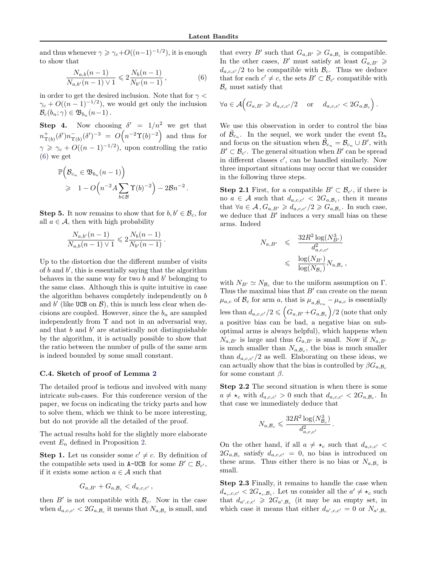<span id="page-16-0"></span>and thus whenever  $\gamma \ge \gamma_c + O((n-1)^{-1/2})$ , it is enough to show that

$$
\frac{N_{a,b}(n-1)}{N_{a,b'}(n-1)\vee 1} \leq 2\frac{N_b(n-1)}{N_{b'}(n-1)},
$$
\n(6)

in order to get the desired inclusion. Note that for  $\gamma$  $\gamma_c + O((n-1)^{-1/2})$ , we would get only the inclusion  $\mathcal{B}_c(b_n; \gamma) \in \mathfrak{B}_{b_n}(n-1)$ .

**Step 4.** Now choosing  $\delta' = 1/n^2$  we get that  $n_{\Upsilon(b)}^{+}(\delta')n_{\Upsilon(b)}^{-}(\delta')^{-3} = O\left(n^{-2}\Upsilon(b)^{-2}\right)$  and thus for  $\gamma \geqslant \gamma_c + O((n-1)^{-1/2})$ , upon controlling the ratio (6) we get

$$
\mathbb{P}\Big(\mathcal{B}_{c_n} \in \mathfrak{B}_{b_n}(n-1)\Big) \n\geq 1 - O\Big(n^{-2}A\sum_{b \in \mathcal{B}} \Upsilon(b)^{-2}\Big) - 2\mathcal{B}n^{-2}.
$$

**Step 5.** It now remains to show that for  $b, b' \in \mathcal{B}_c$ , for all  $a \in \mathcal{A}$ , then with high probability

$$
\frac{N_{a,b'}(n-1)}{N_{a,b}(n-1)\vee 1} \leq 2\frac{N_b(n-1)}{N_{b'}(n-1)}.
$$

Up to the distortion due the different number of visits of  $b$  and  $b'$ , this is essentially saying that the algorithm behaves in the same way for two  $b$  and  $b'$  belonging to the same class. Although this is quite intuitive in case the algorithm behaves completely independently on b and  $b'$  (like UCB on  $\mathcal{B}$ ), this is much less clear when decisions are coupled. However, since the  $b_n$  are sampled independently from  $\Upsilon$  and not in an adversarial way, and that  $b$  and  $b'$  are statistically not distinguishable by the algorithm, it is actually possible to show that the ratio between the number of pulls of the same arm is indeed bounded by some small constant.

#### C.4. Sketch of proof of Lemma [2](#page-6-0)

The detailed proof is tedious and involved with many intricate sub-cases. For this conference version of the paper, we focus on indicating the tricky parts and how to solve them, which we think to be more interesting, but do not provide all the detailed of the proof.

The actual results hold for the slightly more elaborate event  $E_n$  defined in Proposition [2.](#page-14-0)

**Step 1.** Let us consider some  $c' \neq c$ . By definition of the compatible sets used in A-UCB for some  $B' \subset \mathcal{B}_{c'}$ , if it exists some action  $a \in \mathcal{A}$  such that

$$
G_{a,B'}+G_{a,\mathcal{B}_c}
$$

then  $B'$  is not compatible with  $\mathcal{B}_c$ . Now in the case when  $d_{a,c,c'} < 2G_{a,\mathcal{B}_c}$  it means that  $N_{a,\mathcal{B}_c}$  is small, and

that every  $B'$  such that  $G_{a,B'} \geq G_{a,B_c}$  is compatible. In the other cases, B' must satisfy at least  $G_{a,B'} \geqslant$  $d_{a,c,c'}/2$  to be compatible with  $\mathcal{B}_c$ . Thus we deduce that for each  $c' \neq c$ , the sets  $B' \subset \mathcal{B}_{c'}$  compatible with  $\mathcal{B}_c$  must satisfy that

$$
\forall a \in \mathcal{A} \Big( G_{a,B'} \geq d_{a,c,c'}/2 \quad \text{or} \quad d_{a,c,c'} < 2G_{a,\mathcal{B}_c} \Big) \, .
$$

We use this observation in order to control the bias of  $\tilde{\mathcal{B}}_{c_n}$ . In the sequel, we work under the event  $\Omega_n$ and focus on the situation when  $\tilde{\mathcal{B}}_{c_n} = \mathcal{B}_{c_n} \cup B'$ , with  $B' \subset \mathcal{B}_{c'}$ . The general situation when  $B'$  can be spread in different classes  $c'$ , can be handled similarly. Now three important situations may occur that we consider in the following three steps.

**Step 2.1** First, for a compatible  $B' \subset \mathcal{B}_{c'}$ , if there is no  $a \in \mathcal{A}$  such that  $d_{a,c,c'} < 2G_{a,\mathcal{B}_c}$ , then it means that  $\forall a \in \mathcal{A}, G_{a,B'} \geq d_{a,c,c'}/2 \geq G_{a,B_c}$ . In such case, we deduce that  $B'$  induces a very small bias on these arms. Indeed

$$
N_{a,B'} \leqslant \frac{32R^2\log(N_{B'}^3)}{d_{a,c,c'}^2}
$$
  

$$
\leqslant \frac{\log(N_{B'})}{\log(N_{B_c})} N_{a,B_c},
$$

with  $N_{B'} \simeq N_{\mathcal{B}_c}$  due to the uniform assumption on  $\Gamma$ . Thus the maximal bias that  $B'$  can create on the mean  $\mu_{a,c}$  of  $\mathcal{B}_c$  for arm a, that is  $\mu_{a,\tilde{\mathcal{B}}_{cn}} - \mu_{a,c}$  is essentially less than  $d_{a,c,c'}/2 \leqslant (G_{a,B'}+G_{a,\mathcal{B}_c})/2$  (note that only a positive bias can be bad, a negative bias on suboptimal arms is always helpful), which happens when  $N_{a,B'}$  is large and thus  $G_{a,B'}$  is small. Now if  $N_{a,B'}$ is much smaller than  $N_{a,\mathcal{B}_c}$ , the bias is much smaller than  $d_{a,c,c'}/2$  as well. Elaborating on these ideas, we can actually show that the bias is controlled by  $\beta G_{a,\mathcal{B}_c}$ for some constant  $\beta$ .

Step 2.2 The second situation is when there is some  $a \neq \star_c$  with  $d_{a,c,c'} > 0$  such that  $d_{a,c,c'} < 2G_{a,\mathcal{B}_c}$ . In that case we immediately deduce that

.

$$
N_{a, \mathcal{B}_c} \leqslant \frac{32R^2\log(N_{\mathcal{B}_c}^3)}{d_{a, c, c'}^2}
$$

On the other hand, if all  $a \neq \star_c$  such that  $d_{a,c,c'}$  $2G_{a,B_c}$  satisfy  $d_{a,c,c'} = 0$ , no bias is introduced on these arms. Thus either there is no bias or  $N_{a, B_c}$  is small.

Step 2.3 Finally, it remains to handle the case when  $d_{\star_c,c,c'}$  <  $2G_{\star_c,B_c}$ . Let us consider all the  $a' \neq \star_c$  such that  $d_{a',c,c'} \geq 2G_{a',B_c}$  (it may be an empty set, in which case it means that either  $d_{a',c,c'} = 0$  or  $N_{a',B_c}$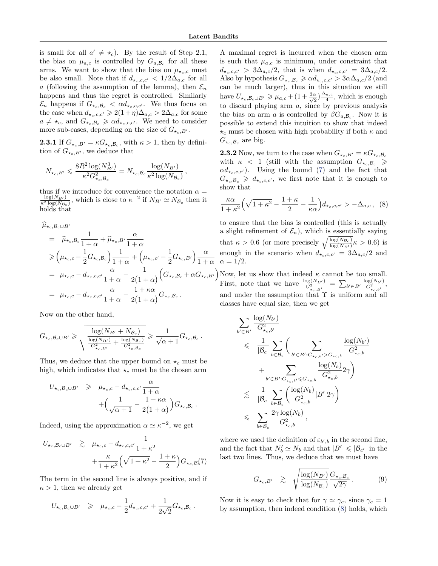is small for all  $a' \neq \star_c$ ). By the result of Step 2.1, the bias on  $\mu_{a,c}$  is controlled by  $G_{a,\mathcal{B}_c}$  for all these arms. We want to show that the bias on  $\mu_{\star_c,c}$  must be also small. Note that if  $d_{\star_c,c,c'} < 1/2\Delta_{a,c}$  for all a (following the assumption of the lemma), then  $\mathcal{E}_n$ happens and thus the regret is controlled. Similarly  $\mathcal{E}_n$  happens if  $G_{\star_c,B_c} < \alpha d_{\star_c,c,c'}$ . We thus focus on the case when  $d_{\star_c,c,c'} \geqslant 2(1+\eta)\Delta_{a,c} > 2\Delta_{a,c}$  for some  $a \neq \star_c$ , and  $G_{\star_c,\mathcal{B}_c} \geq \alpha d_{\star_c,c,c'}$ . We need to consider more sub-cases, depending on the size of  $G_{\star_c,B'}$ .

**2.3.1** If  $G_{\star_c,B'} = \kappa G_{\star_c,B_c}$ , with  $\kappa > 1$ , then by definition of  $G_{\star_c,B'}$ , we deduce that

$$
N_{\star_c,B'} \leqslant \frac{8R^2 \log(N_{B'}^3)}{\kappa^2 G_{\star_c,\mathcal{B}_c}^2} = N_{\star_c,\mathcal{B}_c} \frac{\log(N_{B'})}{\kappa^2 \log(N_{\mathcal{B}_c})},
$$

thus if we introduce for convenience the notation  $\alpha =$  $\frac{\log(N_{B'})}{\kappa^2 \log(N_{B_c})}$ , which is close to  $\kappa^{-2}$  if  $N_{B'} \simeq N_{\mathcal{B}_c}$  then it holds that

$$
\hat{\mu}_{\star_c, \mathcal{B}_c \cup B'} \n= \hat{\mu}_{\star_c, \mathcal{B}_c} \frac{1}{1+\alpha} + \hat{\mu}_{\star_c, B'} \frac{\alpha}{1+\alpha} \n\geq (\mu_{\star_c, c} - \frac{1}{2} G_{\star_c, \mathcal{B}_c}) \frac{1}{1+\alpha} + (\mu_{\star_c, c'} - \frac{1}{2} G_{\star_c, B'}) \frac{\alpha}{1+\alpha} \n= \mu_{\star_c, c} - d_{\star_c, c, c'} \frac{\alpha}{1+\alpha} - \frac{1}{2(1+\alpha)} (G_{\star_c, \mathcal{B}_c} + \alpha G_{\star_c, B'}) \n= \mu_{\star_c, c} - d_{\star_c, c, c'} \frac{\alpha}{1+\alpha} - \frac{1+\kappa \alpha}{2(1+\alpha)} G_{\star_c, \mathcal{B}_c}.
$$

Now on the other hand,

$$
G_{\star_c,\mathcal{B}_c\cup B'} \geqslant \sqrt{\frac{\log(N_{B'}+N_{\mathcal{B}_c})}{\frac{\log(N_{B'})}{G_{\star_c,B'}^2} + \frac{\log(N_{\mathcal{B}_c})}{G_{\star_c,\mathcal{B}_c}^2}}} \geqslant \frac{1}{\sqrt{\alpha+1}}G_{\star_c,\mathcal{B}_c}\,.
$$

Thus, we deduce that the upper bound on  $\star_c$  must be high, which indicates that  $\star_c$  must be the chosen arm

$$
U_{\star_c, \mathcal{B}_c \cup B'} \geq \mu_{\star_c, c} - d_{\star_c, c, c'} \frac{\alpha}{1 + \alpha} + \left(\frac{1}{\sqrt{\alpha + 1}} - \frac{1 + \kappa \alpha}{2(1 + \alpha)}\right) G_{\star_c, \mathcal{B}_c}.
$$

Indeed, using the approximation  $\alpha \simeq \kappa^{-2}$ , we get

$$
U_{\star_c, \mathcal{B}_c \cup B'} \ge \mu_{\star_c, c} - d_{\star_c, c, c'} \frac{1}{1 + \kappa^2} + \frac{\kappa}{1 + \kappa^2} \left( \sqrt{1 + \kappa^2} - \frac{1 + \kappa}{2} \right) G_{\star_c, \mathcal{B}}(7)
$$

The term in the second line is always positive, and if  $\kappa > 1$ , then we already get

$$
U_{\star_c, \mathcal{B}_c \cup B'} \geq \mu_{\star_c, c} - \frac{1}{2} d_{\star_c, c, c'} + \frac{1}{2\sqrt{2}} G_{\star_c, \mathcal{B}_c}.
$$

A maximal regret is incurred when the chosen arm is such that  $\mu_{a,c}$  is minimum, under constraint that  $d_{\star_c,c,c'} > 3\Delta_{a,c}/2$ , that is when  $d_{\star_c,c,c'} = 3\Delta_{a,c}/2$ . Also by hypothesis  $G_{\star_c,B_c} \geq \alpha d_{\star_c,c,c'} > 3\alpha \Delta_{a,c}/2$  (and can be much larger), thus in this situation we still have  $U_{\star_c,B_c\cup B'} \geq \mu_{a,c} + (1+\frac{3\alpha}{\sqrt{2}})$  $(\frac{\alpha}{2})^{\frac{\Delta_{a,c}}{4}}$  $\frac{a,c}{4}$ , which is enough to discard playing arm  $a$ , since by previous analysis the bias on arm a is controlled by  $\beta G_{a,\mathcal{B}_c}$ . Now it is possible to extend this intuition to show that indeed  $\star_c$  must be chosen with high probability if both  $\kappa$  and  $G_{\star_c,\mathcal{B}_c}$  are big.

**2.3.2** Now, we turn to the case when  $G_{\star_c,B'} = \kappa G_{\star_c,B_c}$ with  $\kappa$  < 1 (still with the assumption  $G_{\star_c,B_c}$ )  $\alpha d_{\star_c,c,c'}$ ). Using the bound (7) and the fact that  $G_{\star_c,B_c} \geq d_{\star_c,c,c'}$ , we first note that it is enough to show that

$$
\frac{\kappa\alpha}{1+\kappa^2}\left(\sqrt{1+\kappa^2}-\frac{1+\kappa}{2}-\frac{1}{\kappa\alpha}\right)d_{\star_c,c,c'} > -\Delta_{a,c} \,, \tag{8}
$$

to ensure that the bias is controlled (this is actually a slight refinement of  $\mathcal{E}_n$ ), which is essentially saying that  $\kappa > 0.6$  (or more precisely  $\sqrt{\frac{\log(N_{B_c})}{\log(N_{c_c})}}$  $\frac{\log(N_{\mathcal{B}_c})}{\log(N_{\mathcal{B}'})} \kappa > 0.6$ ) is enough in the scenario when  $d_{\star_c,c,c'} = 3\Delta_{a,c}/2$  and  $\alpha = 1/2.$ 

Now, let us show that indeed  $\kappa$  cannot be too small. First, note that we have  $\frac{\log(N_{B'})}{G_{*_{c,B'}}^2} = \sum_{b' \in B'} \frac{\log(N_{b'})}{G_{*_{c,b'}}^2}$ , and under the assumption that  $\Upsilon$  is uniform and all classes have equal size, then we get

$$
\begin{aligned} &\sum_{b'\in B'}\frac{\log(N_{b'})}{G^2_{\star_c,b'}}\\ &\leqslant \quad \frac{1}{|\mathcal{B}_c|}\sum_{b\in\mathcal{B}_c}\bigg(\sum_{b'\in B': G_{\star_c,b'} > G_{\star_c,b}}\frac{\log(N_{b'})}{G^2_{\star_c,b}}\\ &+\sum_{b'\in B': G_{\star_c,b'} \leqslant G_{\star_c,b}}\frac{\log(N_{b})}{G^2_{\star_c,b}}2\gamma\bigg)\\ &\leqslant \quad \frac{1}{|\mathcal{B}_c|}\sum_{b\in\mathcal{B}_c}\bigg(\frac{\log(N_{b})}{G^2_{\star_c,b}}|B'|2\gamma\bigg)\\ &\leqslant \quad \sum_{b\in\mathcal{B}_c}\frac{2\gamma\log(N_{b})}{G^2_{\star_c,b}}, \end{aligned}
$$

where we used the definition of  $\varepsilon_{b',b}$  in the second line, and the fact that  $N'_b \simeq N_b$  and that  $|B'| \leq |\mathcal{B}_{c'}|$  in the last two lines. Thus, we deduce that we must have

$$
G_{\star_c,B'} \geq \sqrt{\frac{\log(N_{B'})}{\log(N_{\mathcal{B}_c})}} \frac{G_{\star_c,\mathcal{B}_c}}{\sqrt{2\gamma}}.
$$
 (9)

Now it is easy to check that for  $\gamma \simeq \gamma_c$ , since  $\gamma_c = 1$ by assumption, then indeed condition (8) holds, which